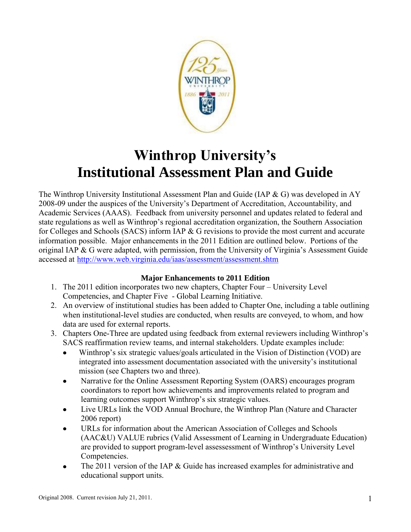

# **Winthrop University's Institutional Assessment Plan and Guide**

The Winthrop University Institutional Assessment Plan and Guide (IAP & G) was developed in AY 2008-09 under the auspices of the University's Department of Accreditation, Accountability, and Academic Services (AAAS). Feedback from university personnel and updates related to federal and state regulations as well as Winthrop's regional accreditation organization, the Southern Association for Colleges and Schools (SACS) inform IAP & G revisions to provide the most current and accurate information possible. Major enhancements in the 2011 Edition are outlined below. Portions of the original IAP & G were adapted, with permission, from the University of Virginia's Assessment Guide accessed at [http://www.web.virginia.edu/iaas/assessment/assessment.shtm](http://www.web.virginia.edu/iaas/assess/assessment.shtm)

#### **Major Enhancements to 2011 Edition**

- 1. The 2011 edition incorporates two new chapters, Chapter Four University Level Competencies, and Chapter Five - Global Learning Initiative.
- 2. An overview of institutional studies has been added to Chapter One, including a table outlining when institutional-level studies are conducted, when results are conveyed, to whom, and how data are used for external reports.
- 3. Chapters One-Three are updated using feedback from external reviewers including Winthrop's SACS reaffirmation review teams, and internal stakeholders. Update examples include:
	- Winthrop's six strategic values/goals articulated in the Vision of Distinction (VOD) are integrated into assessment documentation associated with the university's institutional mission (see Chapters two and three).
	- Narrative for the Online Assessment Reporting System (OARS) encourages program  $\bullet$ coordinators to report how achievements and improvements related to program and learning outcomes support Winthrop's six strategic values.
	- Live URLs link the VOD Annual Brochure, the Winthrop Plan (Nature and Character  $\bullet$ 2006 report)
	- URLs for information about the American Association of Colleges and Schools (AAC&U) VALUE rubrics (Valid Assessment of Learning in Undergraduate Education) are provided to support program-level assessessment of Winthrop's University Level Competencies.
	- The 2011 version of the IAP & Guide has increased examples for administrative and  $\bullet$ educational support units.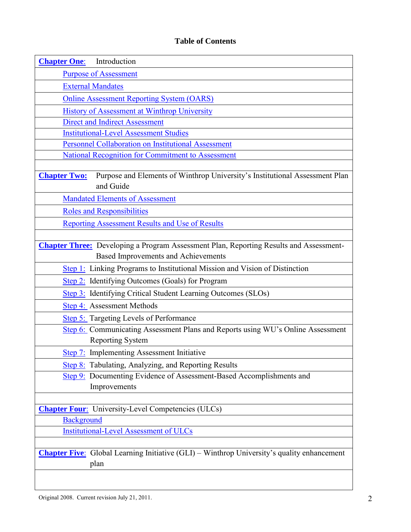## **Table of Contents**

<span id="page-1-0"></span>

| <b>Chapter One:</b><br>Introduction                                                                                                         |
|---------------------------------------------------------------------------------------------------------------------------------------------|
| <b>Purpose of Assessment</b>                                                                                                                |
| <b>External Mandates</b>                                                                                                                    |
| <b>Online Assessment Reporting System (OARS)</b>                                                                                            |
| <b>History of Assessment at Winthrop University</b>                                                                                         |
| <b>Direct and Indirect Assessment</b>                                                                                                       |
| <b>Institutional-Level Assessment Studies</b>                                                                                               |
| <b>Personnel Collaboration on Institutional Assessment</b>                                                                                  |
| <b>National Recognition for Commitment to Assessment</b>                                                                                    |
| Purpose and Elements of Winthrop University's Institutional Assessment Plan<br><b>Chapter Two:</b><br>and Guide                             |
| <b>Mandated Elements of Assessment</b>                                                                                                      |
| <b>Roles and Responsibilities</b>                                                                                                           |
| <b>Reporting Assessment Results and Use of Results</b>                                                                                      |
|                                                                                                                                             |
| <b>Chapter Three:</b> Developing a Program Assessment Plan, Reporting Results and Assessment-<br><b>Based Improvements and Achievements</b> |
| Step 1: Linking Programs to Institutional Mission and Vision of Distinction                                                                 |
| Step 2: Identifying Outcomes (Goals) for Program                                                                                            |
| Step 3: Identifying Critical Student Learning Outcomes (SLOs)                                                                               |
| <b>Step 4:</b> Assessment Methods                                                                                                           |
| <b>Step 5:</b> Targeting Levels of Performance                                                                                              |
| Step 6: Communicating Assessment Plans and Reports using WU's Online Assessment<br><b>Reporting System</b>                                  |
| Step 7: Implementing Assessment Initiative                                                                                                  |
| Step 8: Tabulating, Analyzing, and Reporting Results                                                                                        |
| Step 9: Documenting Evidence of Assessment-Based Accomplishments and                                                                        |
| Improvements                                                                                                                                |
|                                                                                                                                             |
| <b>Chapter Four:</b> University-Level Competencies (ULCs)                                                                                   |
| <b>Background</b>                                                                                                                           |
| <b>Institutional-Level Assessment of ULCs</b>                                                                                               |
|                                                                                                                                             |
| <b>Chapter Five:</b> Global Learning Initiative (GLI) – Winthrop University's quality enhancement                                           |
| plan                                                                                                                                        |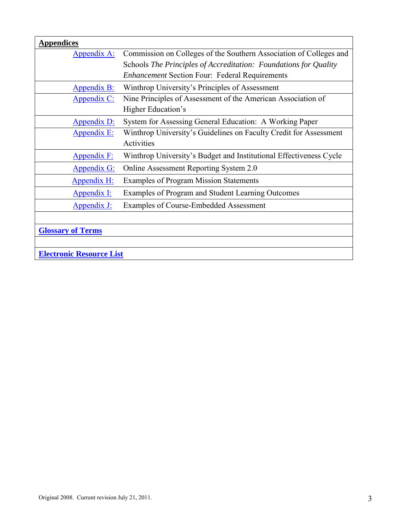| <b>Appendices</b>               |                                                                    |
|---------------------------------|--------------------------------------------------------------------|
| <u>Appendix A:</u>              | Commission on Colleges of the Southern Association of Colleges and |
|                                 | Schools The Principles of Accreditation: Foundations for Quality   |
|                                 | <b>Enhancement Section Four: Federal Requirements</b>              |
| <b>Appendix B:</b>              | Winthrop University's Principles of Assessment                     |
| Appendix C:                     | Nine Principles of Assessment of the American Association of       |
|                                 | Higher Education's                                                 |
| <b>Appendix D:</b>              | System for Assessing General Education: A Working Paper            |
| <b>Appendix E:</b>              | Winthrop University's Guidelines on Faculty Credit for Assessment  |
|                                 | Activities                                                         |
| <b>Appendix F:</b>              | Winthrop University's Budget and Institutional Effectiveness Cycle |
| <b>Appendix G:</b>              | Online Assessment Reporting System 2.0                             |
| <b>Appendix H:</b>              | <b>Examples of Program Mission Statements</b>                      |
| <b>Appendix I:</b>              | Examples of Program and Student Learning Outcomes                  |
| <u>Appendix J:</u>              | Examples of Course-Embedded Assessment                             |
|                                 |                                                                    |
| <b>Glossary of Terms</b>        |                                                                    |
|                                 |                                                                    |
| <b>Electronic Resource List</b> |                                                                    |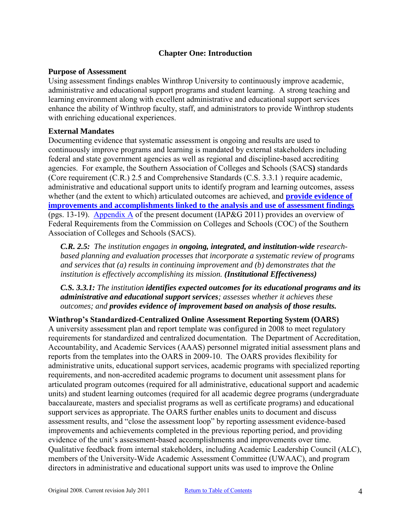#### **Chapter One: Introduction**

#### <span id="page-3-1"></span><span id="page-3-0"></span>**Purpose of Assessment**

Using assessment findings enables Winthrop University to continuously improve academic, administrative and educational support programs and student learning. A strong teaching and learning environment along with excellent administrative and educational support services enhance the ability of Winthrop faculty, staff, and administrators to provide Winthrop students with enriching educational experiences.

#### <span id="page-3-2"></span>**External Mandates**

Documenting evidence that systematic assessment is ongoing and results are used to continuously improve programs and learning is mandated by external stakeholders including federal and state government agencies as well as regional and discipline-based accrediting agencies. For example, the Southern Association of Colleges and Schools (SACS**)** standards (Core requirement (C.R.) 2.5 and Comprehensive Standards (C.S. 3.3.1 ) require academic, administrative and educational support units to identify program and learning outcomes, assess whether (and the extent to which) articulated outcomes are achieved, and **[provide evidence of](http://www.sacscoc.org/pdf/2010principlesofacreditation.pdf#page=19)  [improvements and accomplishments linked to the analysis and use of assessment findings](http://www.sacscoc.org/pdf/2010principlesofacreditation.pdf#page=19)** (pgs. 13-19). [Appendix A](#page-32-0) of the present document (IAP&G 2011) provides an overview of Federal Requirements from the Commission on Colleges and Schools (COC) of the Southern Association of Colleges and Schools (SACS).

*C.R. 2.5: The institution engages in ongoing, integrated, and institution-wide researchbased planning and evaluation processes that incorporate a systematic review of programs and services that (a) results in continuing improvement and (b) demonstrates that the institution is effectively accomplishing its mission. (Institutional Effectiveness)* 

*C.S. 3.3.1: The institution identifies expected outcomes for its educational programs and its administrative and educational support services; assesses whether it achieves these outcomes; and provides evidence of improvement based on analysis of those results.* 

#### <span id="page-3-3"></span>**Winthrop's Standardized-Centralized Online Assessment Reporting System (OARS)**

A university assessment plan and report template was configured in 2008 to meet regulatory requirements for standardized and centralized documentation. The Department of Accreditation, Accountability, and Academic Services (AAAS) personnel migrated initial assessment plans and reports from the templates into the OARS in 2009-10. The OARS provides flexibility for administrative units, educational support services, academic programs with specialized reporting requirements, and non-accredited academic programs to document unit assessment plans for articulated program outcomes (required for all administrative, educational support and academic units) and student learning outcomes (required for all academic degree programs (undergraduate baccalaureate, masters and specialist programs as well as certificate programs) and educational support services as appropriate. The OARS further enables units to document and discuss assessment results, and "close the assessment loop" by reporting assessment evidence-based improvements and achievements completed in the previous reporting period, and providing evidence of the unit's assessment-based accomplishments and improvements over time. Qualitative feedback from internal stakeholders, including Academic Leadership Council (ALC), members of the University-Wide Academic Assessment Committee (UWAAC), and program directors in administrative and educational support units was used to improve the Online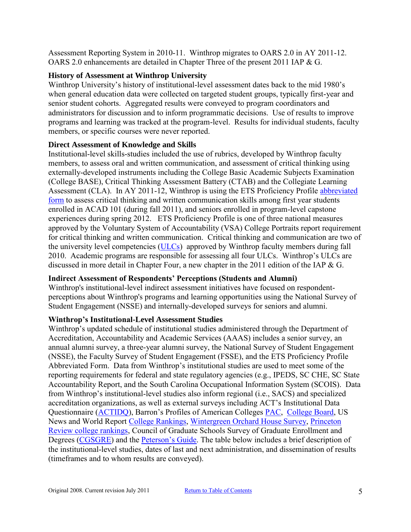Assessment Reporting System in 2010-11. Winthrop migrates to OARS 2.0 in AY 2011-12. OARS 2.0 enhancements are detailed in Chapter Three of the present 2011 IAP & G.

## <span id="page-4-0"></span>**History of Assessment at Winthrop University**

Winthrop University's history of institutional-level assessment dates back to the mid 1980's when general education data were collected on targeted student groups, typically first-year and senior student cohorts. Aggregated results were conveyed to program coordinators and administrators for discussion and to inform programmatic decisions. Use of results to improve programs and learning was tracked at the program-level. Results for individual students, faculty members, or specific courses were never reported.

#### <span id="page-4-1"></span>**Direct Assessment of Knowledge and Skills**

Institutional-level skills-studies included the use of rubrics, developed by Winthrop faculty members, to assess oral and written communication, and assessment of critical thinking using externally-developed instruments including the College Basic Academic Subjects Examination (College BASE), Critical Thinking Assessment Battery (CTAB) and the Collegiate Learning Assessment (CLA). In AY 2011-12, Winthrop is using the ETS Proficiency Profile [abbreviated](http://www.ets.org/proficiencyprofile/test_administration/format)  [form](http://www.ets.org/proficiencyprofile/test_administration/format) to assess critical thinking and written communication skills among first year students enrolled in ACAD 101 (during fall 2011), and seniors enrolled in program-level capstone experiences during spring 2012. ETS Proficiency Profile is one of three national measures approved by the Voluntary System of Accountability (VSA) College Portraits report requirement for critical thinking and written communication. Critical thinking and communication are two of the university level competencies [\(ULCs\)](http://www.winthrop.edu/academic-affairs/secondary.aspx?id=15731) approved by Winthrop faculty members during fall 2010. Academic programs are responsible for assessing all four ULCs. Winthrop's ULCs are discussed in more detail in Chapter Four, a new chapter in the 2011 edition of the IAP & G.

## **Indirect Assessment of Respondents' Perceptions (Students and Alumni)**

Winthrop's institutional-level indirect assessment initiatives have focused on respondentperceptions about Winthrop's programs and learning opportunities using the National Survey of Student Engagement (NSSE) and internally-developed surveys for seniors and alumni.

## <span id="page-4-2"></span>**Winthrop's Institutional-Level Assessment Studies**

Winthrop's updated schedule of institutional studies administered through the Department of Accreditation, Accountability and Academic Services (AAAS) includes a senior survey, an annual alumni survey, a three-year alumni survey, the National Survey of Student Engagement (NSSE), the Faculty Survey of Student Engagement (FSSE), and the ETS Proficiency Profile Abbreviated Form. Data from Winthrop's institutional studies are used to meet some of the reporting requirements for federal and state regulatory agencies (e.g., IPEDS, SC CHE, SC State Accountability Report, and the South Carolina Occupational Information System (SCOIS). Data from Winthrop's institutional-level studies also inform regional (i.e., SACS) and specialized accreditation organizations, as well as external surveys including ACT's Institutional Data Questionnaire [\(ACTIDQ\)](http://www.act.org/idq/), Barron's Profiles of American Colleges [PAC,](http://www.barronspac.com/) [College Board,](http://www.collegeboard.org/) US News and World Report [College Rankings,](http://colleges.usnews.rankingsandreviews.com/best-colleges) [Wintergreen Orchard House Survey,](http://www.wintergreenorchardhouse.com/about.php?subPageCat=aboutUs&pageCat=about) [Princeton](http://www.princetonreview.com/college-rankings.aspx)  [Review college rankings,](http://www.princetonreview.com/college-rankings.aspx) Council of Graduate Schools Survey of Graduate Enrollment and Degrees [\(CGSGRE\)](http://www.cgsnet.org/Default.aspx?tabid=168) and the [Peterson's Guide.](http://www.petersons.com/college-search.aspx) The table below includes a brief description of the institutional-level studies, dates of last and next administration, and dissemination of results (timeframes and to whom results are conveyed).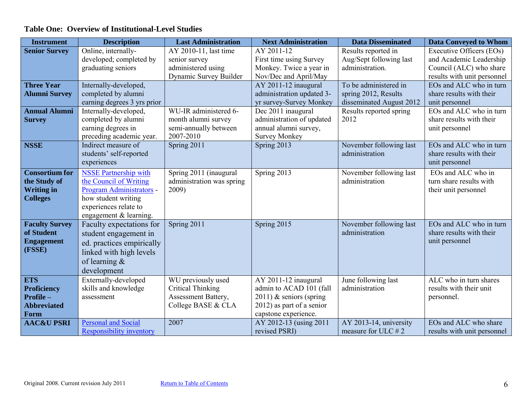## **Table One: Overview of Institutional-Level Studies**

| <b>Instrument</b>     | <b>Description</b>              | <b>Last Administration</b> | <b>Next Administration</b> | <b>Data Disseminated</b> | <b>Data Conveyed to Whom</b> |
|-----------------------|---------------------------------|----------------------------|----------------------------|--------------------------|------------------------------|
| <b>Senior Survey</b>  | Online, internally-             | AY 2010-11, last time      | AY 2011-12                 | Results reported in      | Executive Officers (EOs)     |
|                       | developed; completed by         | senior survey              | First time using Survey    | Aug/Sept following last  | and Academic Leadership      |
|                       | graduating seniors              | administered using         | Monkey. Twice a year in    | administration.          | Council (ALC) who share      |
|                       |                                 | Dynamic Survey Builder     | Nov/Dec and April/May      |                          | results with unit personnel  |
| <b>Three Year</b>     | Internally-developed,           |                            | AY 2011-12 inaugural       | To be administered in    | EOs and ALC who in turn      |
| <b>Alumni Survey</b>  | completed by alumni             |                            | administration updated 3-  | spring 2012, Results     | share results with their     |
|                       | earning degrees 3 yrs prior     |                            | yr survey-Survey Monkey    | disseminated August 2012 | unit personnel               |
| <b>Annual Alumni</b>  | Internally-developed,           | WU-IR administered 6-      | Dec 2011 inaugural         | Results reported spring  | EOs and ALC who in turn      |
| <b>Survey</b>         | completed by alumni             | month alumni survey        | administration of updated  | 2012                     | share results with their     |
|                       | earning degrees in              | semi-annually between      | annual alumni survey,      |                          | unit personnel               |
|                       | preceding academic year.        | 2007-2010                  | <b>Survey Monkey</b>       |                          |                              |
| <b>NSSE</b>           | Indirect measure of             | Spring 2011                | Spring 2013                | November following last  | EOs and ALC who in turn      |
|                       | students' self-reported         |                            |                            | administration           | share results with their     |
|                       | experiences                     |                            |                            |                          | unit personnel               |
| <b>Consortium for</b> | <b>NSSE Partnership with</b>    | Spring 2011 (inaugural     | Spring 2013                | November following last  | EOs and ALC who in           |
| the Study of          | the Council of Writing          | administration was spring  |                            | administration           | turn share results with      |
| <b>Writing in</b>     | Program Administrators -        | 2009)                      |                            |                          | their unit personnel         |
| <b>Colleges</b>       | how student writing             |                            |                            |                          |                              |
|                       | experiences relate to           |                            |                            |                          |                              |
|                       | engagement & learning.          |                            |                            |                          |                              |
| <b>Faculty Survey</b> | Faculty expectations for        | Spring 2011                | Spring 2015                | November following last  | EOs and ALC who in turn      |
| of Student            | student engagement in           |                            |                            | administration           | share results with their     |
| <b>Engagement</b>     | ed. practices empirically       |                            |                            |                          | unit personnel               |
| (FSSE)                | linked with high levels         |                            |                            |                          |                              |
|                       | of learning $\&$                |                            |                            |                          |                              |
|                       | development                     |                            |                            |                          |                              |
| <b>ETS</b>            | Externally-developed            | WU previously used         | AY 2011-12 inaugural       | June following last      | ALC who in turn shares       |
| <b>Proficiency</b>    | skills and knowledge            | <b>Critical Thinking</b>   | admin to ACAD 101 (fall    | administration           | results with their unit      |
| Profile-              | assessment                      | Assessment Battery,        | 2011) $&$ seniors (spring  |                          | personnel.                   |
| <b>Abbreviated</b>    |                                 | College BASE & CLA         | 2012) as part of a senior  |                          |                              |
| Form                  |                                 |                            | capstone experience.       |                          |                              |
| <b>AAC&amp;U PSRI</b> | <b>Personal and Social</b>      | 2007                       | AY 2012-13 (using 2011     | AY 2013-14, university   | EOs and ALC who share        |
|                       | <b>Responsibility inventory</b> |                            | revised PSRI)              | measure for ULC $# 2$    | results with unit personnel  |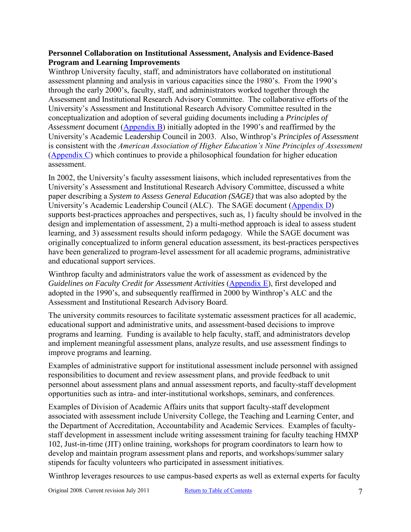#### <span id="page-6-0"></span>**Personnel Collaboration on Institutional Assessment, Analysis and Evidence-Based Program and Learning Improvements**

Winthrop University faculty, staff, and administrators have collaborated on institutional assessment planning and analysis in various capacities since the 1980's. From the 1990's through the early 2000's, faculty, staff, and administrators worked together through the Assessment and Institutional Research Advisory Committee. The collaborative efforts of the University's Assessment and Institutional Research Advisory Committee resulted in the conceptualization and adoption of several guiding documents including a *Principles of Assessment* document [\(Appendix B\)](#page-33-0) initially adopted in the 1990's and reaffirmed by the University's Academic Leadership Council in 2003. Also, Winthrop's *Principles of Assessment* is consistent with the *American Association of Higher Education's Nine Principles of Assessment*  [\(Appendix C\)](#page-34-0) which continues to provide a philosophical foundation for higher education assessment.

In 2002, the University's faculty assessment liaisons, which included representatives from the University's Assessment and Institutional Research Advisory Committee, discussed a white paper describing a *System to Assess General Education (SAGE)* that was also adopted by the University's Academic Leadership Council (ALC). The SAGE document [\(Appendix D\)](#page-36-0) supports best-practices approaches and perspectives, such as, 1) faculty should be involved in the design and implementation of assessment, 2) a multi-method approach is ideal to assess student learning, and 3) assessment results should inform pedagogy. While the SAGE document was originally conceptualized to inform general education assessment, its best-practices perspectives have been generalized to program-level assessment for all academic programs, administrative and educational support services.

Winthrop faculty and administrators value the work of assessment as evidenced by the *Guidelines on Faculty Credit for Assessment Activities [\(Appendix E\)](#page-41-0), first developed and* adopted in the 1990's, and subsequently reaffirmed in 2000 by Winthrop's ALC and the Assessment and Institutional Research Advisory Board.

The university commits resources to facilitate systematic assessment practices for all academic, educational support and administrative units, and assessment-based decisions to improve programs and learning. Funding is available to help faculty, staff, and administrators develop and implement meaningful assessment plans, analyze results, and use assessment findings to improve programs and learning.

Examples of administrative support for institutional assessment include personnel with assigned responsibilities to document and review assessment plans, and provide feedback to unit personnel about assessment plans and annual assessment reports, and faculty-staff development opportunities such as intra- and inter-institutional workshops, seminars, and conferences.

Examples of Division of Academic Affairs units that support faculty-staff development associated with assessment include University College, the Teaching and Learning Center, and the Department of Accreditation, Accountability and Academic Services. Examples of facultystaff development in assessment include writing assessment training for faculty teaching HMXP 102, Just-in-time (JIT) online training, workshops for program coordinators to learn how to develop and maintain program assessment plans and reports, and workshops/summer salary stipends for faculty volunteers who participated in assessment initiatives.

Winthrop leverages resources to use campus-based experts as well as external experts for faculty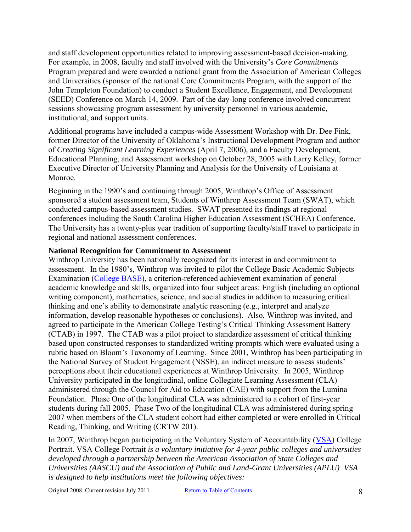and staff development opportunities related to improving assessment-based decision-making. For example, in 2008, faculty and staff involved with the University's *Core Commitments* Program prepared and were awarded a national grant from the Association of American Colleges and Universities (sponsor of the national Core Commitments Program, with the support of the John Templeton Foundation) to conduct a Student Excellence, Engagement, and Development (SEED) Conference on March 14, 2009. Part of the day-long conference involved concurrent sessions showcasing program assessment by university personnel in various academic, institutional, and support units.

Additional programs have included a campus-wide Assessment Workshop with Dr. Dee Fink, former Director of the University of Oklahoma's Instructional Development Program and author of *Creating Significant Learning Experiences* (April 7, 2006)*,* and a Faculty Development, Educational Planning, and Assessment workshop on October 28, 2005 with Larry Kelley, former Executive Director of University Planning and Analysis for the University of Louisiana at Monroe.

Beginning in the 1990's and continuing through 2005, Winthrop's Office of Assessment sponsored a student assessment team, Students of Winthrop Assessment Team (SWAT), which conducted campus-based assessment studies. SWAT presented its findings at regional conferences including the South Carolina Higher Education Assessment (SCHEA) Conference. The University has a twenty-plus year tradition of supporting faculty/staff travel to participate in regional and national assessment conferences.

#### <span id="page-7-0"></span>**National Recognition for Commitment to Assessment**

Winthrop University has been nationally recognized for its interest in and commitment to assessment. In the 1980's, Winthrop was invited to pilot the College Basic Academic Subjects Examination [\(College BASE\)](http://arc.missouri.edu/index.php?p=/CB/CBhome.htm), a criterion-referenced achievement examination of general academic knowledge and skills, organized into four subject areas: English (including an optional writing component), mathematics, science, and social studies in addition to measuring critical thinking and one's ability to demonstrate analytic reasoning (e.g., interpret and analyze information, develop reasonable hypotheses or conclusions). Also, Winthrop was invited, and agreed to participate in the American College Testing's Critical Thinking Assessment Battery (CTAB) in 1997. The CTAB was a pilot project to standardize assessment of critical thinking based upon constructed responses to standardized writing prompts which were evaluated using a rubric based on Bloom's Taxonomy of Learning. Since 2001, Winthrop has been participating in the National Survey of Student Engagement (NSSE), an indirect measure to assess students' perceptions about their educational experiences at Winthrop University. In 2005, Winthrop University participated in the longitudinal, online Collegiate Learning Assessment (CLA) administered through the Council for Aid to Education (CAE) with support from the Lumina Foundation. Phase One of the longitudinal CLA was administered to a cohort of first-year students during fall 2005. Phase Two of the longitudinal CLA was administered during spring 2007 when members of the CLA student cohort had either completed or were enrolled in Critical Reading, Thinking, and Writing (CRTW 201).

In 2007, Winthrop began participating in the Voluntary System of Accountability [\(VSA\)](http://www.voluntarysystem.org/index.cfm?page=homepage) College Portrait. VSA College Portrait *is a voluntary initiative for 4-year public colleges and universities developed through a partnership between the American Association of State Colleges and Universities (AASCU) and the Association of Public and Land-Grant Universities (APLU) VSA is designed to help institutions meet the following objectives:*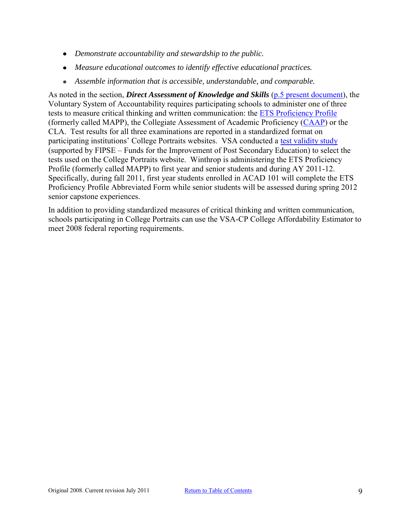- *Demonstrate accountability and stewardship to the public.*
- *Measure educational outcomes to identify effective educational practices.*
- *Assemble information that is accessible, understandable, and comparable.*

As noted in the section, *Direct Assessment of Knowledge and Skills* [\(p.5 present document\)](#page-4-1), the Voluntary System of Accountability requires participating schools to administer one of three tests to measure critical thinking and written communication: the [ETS Proficiency Profile](http://www.ets.org/proficiencyprofile/about/vsa) (formerly called MAPP), the Collegiate Assessment of Academic Proficiency [\(CAAP\)](http://www.act.org/caap/vsa.html) or the CLA. Test results for all three examinations are reported in a standardized format on participating institutions' College Portraits websites. VSA conducted a [test validity study](http://www.voluntarysystem.org/docs/reports/VSAabstract_TVS.pdf) (supported by FIPSE – Funds for the Improvement of Post Secondary Education) to select the tests used on the College Portraits website. Winthrop is administering the ETS Proficiency Profile (formerly called MAPP) to first year and senior students and during AY 2011-12. Specifically, during fall 2011, first year students enrolled in ACAD 101 will complete the ETS Proficiency Profile Abbreviated Form while senior students will be assessed during spring 2012 senior capstone experiences.

In addition to providing standardized measures of critical thinking and written communication, schools participating in College Portraits can use the VSA-CP College Affordability Estimator to meet 2008 federal reporting requirements.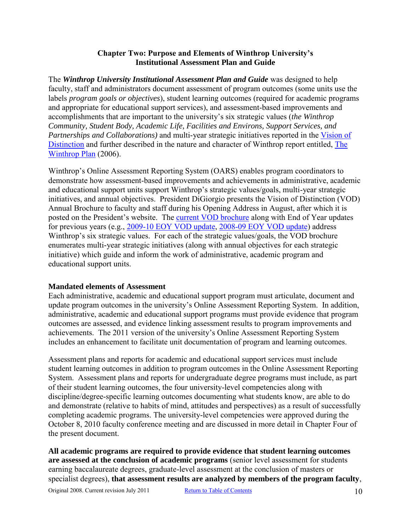#### **Chapter Two: Purpose and Elements of Winthrop University's Institutional Assessment Plan and Guide**

<span id="page-9-0"></span>The *Winthrop University Institutional Assessment Plan and Guide* was designed to help faculty, staff and administrators document assessment of program outcomes (some units use the labels *program goals or objectives*), student learning outcomes (required for academic programs and appropriate for educational support services), and assessment-based improvements and accomplishments that are important to the university's six strategic values (*the Winthrop Community, Student Body, Academic Life, Facilities and Environs, Support Services, and Partnerships and Collaborations)* and multi-year strategic initiatives reported in the [Vision of](http://www.winthrop.edu/uploadedFiles/president/2010-11_VoD_color.pdf)  [Distinction](http://www.winthrop.edu/uploadedFiles/president/2010-11_VoD_color.pdf) and further described in the nature and character of Winthrop report entitled, [The](http://www.winthrop.edu/uploadedFiles/WinthropPlanbyNatureandCharacterTask%20Force%20FINAL%2002-4-06_2.pdf)  [Winthrop Plan](http://www.winthrop.edu/uploadedFiles/WinthropPlanbyNatureandCharacterTask%20Force%20FINAL%2002-4-06_2.pdf) (2006).

Winthrop's Online Assessment Reporting System (OARS) enables program coordinators to demonstrate how assessment-based improvements and achievements in administrative, academic and educational support units support Winthrop's strategic values/goals, multi-year strategic initiatives, and annual objectives. President DiGiorgio presents the Vision of Distinction (VOD) Annual Brochure to faculty and staff during his Opening Address in August, after which it is posted on the President's website. The [current VOD brochure](http://www.winthrop.edu/uploadedFiles/president/2010-11_VoD_color.pdf) along with End of Year updates for previous years (e.g., [2009-10 EOY VOD update,](http://www.winthrop.edu/uploadedFiles/president/09-10VODupdates_June2010.pdf) [2008-09 EOY VOD update\)](http://www.winthrop.edu/uploadedFiles/president/08-09VODupdates_June2009.pdf) address Winthrop's six strategic values. For each of the strategic values/goals, the VOD brochure enumerates multi-year strategic initiatives (along with annual objectives for each strategic initiative) which guide and inform the work of administrative, academic program and educational support units.

#### <span id="page-9-1"></span>**Mandated elements of Assessment**

Each administrative, academic and educational support program must articulate, document and update program outcomes in the university's Online Assessment Reporting System. In addition, administrative, academic and educational support programs must provide evidence that program outcomes are assessed, and evidence linking assessment results to program improvements and achievements. The 2011 version of the university's Online Assessment Reporting System includes an enhancement to facilitate unit documentation of program and learning outcomes.

Assessment plans and reports for academic and educational support services must include student learning outcomes in addition to program outcomes in the Online Assessment Reporting System. Assessment plans and reports for undergraduate degree programs must include, as part of their student learning outcomes, the four university-level competencies along with discipline/degree-specific learning outcomes documenting what students know, are able to do and demonstrate (relative to habits of mind, attitudes and perspectives) as a result of successfully completing academic programs. The university-level competencies were approved during the October 8, 2010 faculty conference meeting and are discussed in more detail in Chapter Four of the present document.

**All academic programs are required to provide evidence that student learning outcomes are assessed at the conclusion of academic programs** (senior level assessment for students earning baccalaureate degrees, graduate-level assessment at the conclusion of masters or specialist degrees), **that assessment results are analyzed by members of the program faculty**,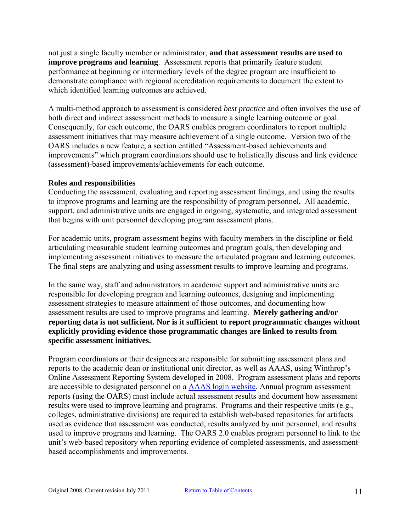not just a single faculty member or administrator, **and that assessment results are used to improve programs and learning**.Assessment reports that primarily feature student performance at beginning or intermediary levels of the degree program are insufficient to demonstrate compliance with regional accreditation requirements to document the extent to which identified learning outcomes are achieved.

A multi-method approach to assessment is considered *best practice* and often involves the use of both direct and indirect assessment methods to measure a single learning outcome or goal. Consequently, for each outcome, the OARS enables program coordinators to report multiple assessment initiatives that may measure achievement of a single outcome. Version two of the OARS includes a new feature, a section entitled "Assessment-based achievements and improvements" which program coordinators should use to holistically discuss and link evidence (assessment)-based improvements/achievements for each outcome.

#### <span id="page-10-0"></span>**Roles and responsibilities**

Conducting the assessment, evaluating and reporting assessment findings, and using the results to improve programs and learning are the responsibility of program personnel**.** All academic, support, and administrative units are engaged in ongoing, systematic, and integrated assessment that begins with unit personnel developing program assessment plans.

For academic units, program assessment begins with faculty members in the discipline or field articulating measurable student learning outcomes and program goals, then developing and implementing assessment initiatives to measure the articulated program and learning outcomes. The final steps are analyzing and using assessment results to improve learning and programs.

In the same way, staff and administrators in academic support and administrative units are responsible for developing program and learning outcomes, designing and implementing assessment strategies to measure attainment of those outcomes, and documenting how assessment results are used to improve programs and learning. **Merely gathering and/or reporting data is not sufficient. Nor is it sufficient to report programmatic changes without explicitly providing evidence those programmatic changes are linked to results from specific assessment initiatives.** 

Program coordinators or their designees are responsible for submitting assessment plans and reports to the academic dean or institutional unit director, as well as AAAS, using Winthrop's Online Assessment Reporting System developed in 2008. Program assessment plans and reports are accessible to designated personnel on a [AAAS login website.](http://www2.winthrop.edu/login/aaas/login.aspx?ReturnUrl=%2flogin%2faaas%2fDefault.aspx&s=0) Annual program assessment reports (using the OARS) must include actual assessment results and document how assessment results were used to improve learning and programs. Programs and their respective units (e.g., colleges, administrative divisions) are required to establish web-based repositories for artifacts used as evidence that assessment was conducted, results analyzed by unit personnel, and results used to improve programs and learning. The OARS 2.0 enables program personnel to link to the unit's web-based repository when reporting evidence of completed assessments, and assessmentbased accomplishments and improvements.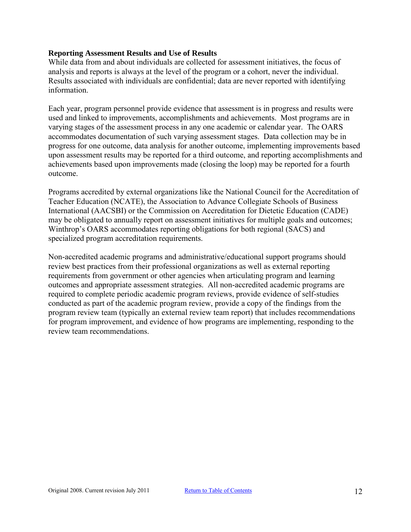#### <span id="page-11-0"></span>**Reporting Assessment Results and Use of Results**

While data from and about individuals are collected for assessment initiatives, the focus of analysis and reports is always at the level of the program or a cohort, never the individual. Results associated with individuals are confidential; data are never reported with identifying information.

Each year, program personnel provide evidence that assessment is in progress and results were used and linked to improvements, accomplishments and achievements. Most programs are in varying stages of the assessment process in any one academic or calendar year. The OARS accommodates documentation of such varying assessment stages. Data collection may be in progress for one outcome, data analysis for another outcome, implementing improvements based upon assessment results may be reported for a third outcome, and reporting accomplishments and achievements based upon improvements made (closing the loop) may be reported for a fourth outcome.

Programs accredited by external organizations like the National Council for the Accreditation of Teacher Education (NCATE), the Association to Advance Collegiate Schools of Business International (AACSBI) or the Commission on Accreditation for Dietetic Education (CADE) may be obligated to annually report on assessment initiatives for multiple goals and outcomes; Winthrop's OARS accommodates reporting obligations for both regional (SACS) and specialized program accreditation requirements.

Non-accredited academic programs and administrative/educational support programs should review best practices from their professional organizations as well as external reporting requirements from government or other agencies when articulating program and learning outcomes and appropriate assessment strategies. All non-accredited academic programs are required to complete periodic academic program reviews, provide evidence of self-studies conducted as part of the academic program review, provide a copy of the findings from the program review team (typically an external review team report) that includes recommendations for program improvement, and evidence of how programs are implementing, responding to the review team recommendations.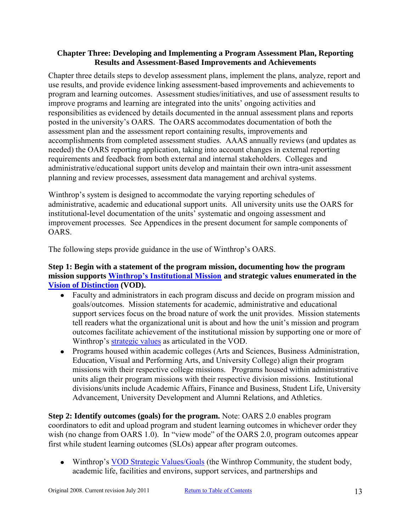#### <span id="page-12-0"></span>**Chapter Three: Developing and Implementing a Program Assessment Plan, Reporting Results and Assessment-Based Improvements and Achievements**

Chapter three details steps to develop assessment plans, implement the plans, analyze, report and use results, and provide evidence linking assessment-based improvements and achievements to program and learning outcomes. Assessment studies/initiatives, and use of assessment results to improve programs and learning are integrated into the units' ongoing activities and responsibilities as evidenced by details documented in the annual assessment plans and reports posted in the university's OARS. The OARS accommodates documentation of both the assessment plan and the assessment report containing results, improvements and accomplishments from completed assessment studies. AAAS annually reviews (and updates as needed) the OARS reporting application, taking into account changes in external reporting requirements and feedback from both external and internal stakeholders. Colleges and administrative/educational support units develop and maintain their own intra-unit assessment planning and review processes, assessment data management and archival systems.

Winthrop's system is designed to accommodate the varying reporting schedules of administrative, academic and educational support units. All university units use the OARS for institutional-level documentation of the units' systematic and ongoing assessment and improvement processes. See Appendices in the present document for sample components of OARS.

The following steps provide guidance in the use of Winthrop's OARS.

## <span id="page-12-1"></span>**Step 1: Begin with a statement of the program mission, documenting how the program mission supports [Winthrop's Institutional Mission](http://www.winthrop.edu/president/default.aspx?id=1620&ekmensel=10142f98_296_0_1620_3) and strategic values enumerated in the [Vision of Distinction](http://www.winthrop.edu/president/default.aspx?id=1366) (VOD).**

- Faculty and administrators in each program discuss and decide on program mission and  $\bullet$ goals/outcomes. Mission statements for academic, administrative and educational support services focus on the broad nature of work the unit provides. Mission statements tell readers what the organizational unit is about and how the unit's mission and program outcomes facilitate achievement of the institutional mission by supporting one or more of Winthrop's [strategic values](http://www.winthrop.edu/uploadedFiles/president/2010-11_VoD_color.pdf) as articulated in the VOD.
- Programs housed within academic colleges (Arts and Sciences, Business Administration, Education, Visual and Performing Arts, and University College) align their program missions with their respective college missions. Programs housed within administrative units align their program missions with their respective division missions. Institutional divisions/units include Academic Affairs, Finance and Business, Student Life, University Advancement, University Development and Alumni Relations, and Athletics.

<span id="page-12-2"></span>**Step 2: Identify outcomes (goals) for the program.** Note: OARS 2.0 enables program coordinators to edit and upload program and student learning outcomes in whichever order they wish (no change from OARS 1.0). In "view mode" of the OARS 2.0, program outcomes appear first while student learning outcomes (SLOs) appear after program outcomes.

• Winthrop's [VOD Strategic Values/Goals](http://www.winthrop.edu/uploadedFiles/president/2010-11_VoD_color.pdf) (the Winthrop Community, the student body, academic life, facilities and environs, support services, and partnerships and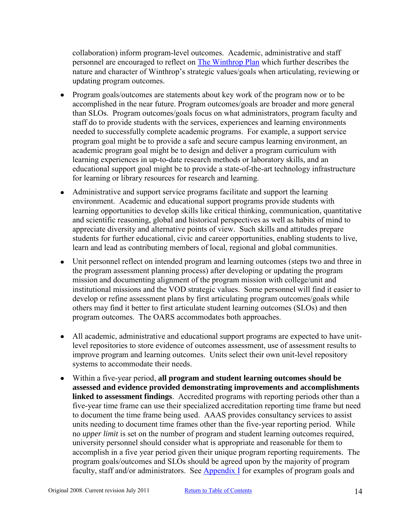collaboration) inform program-level outcomes. Academic, administrative and staff personnel are encouraged to reflect on [The Winthrop Plan](http://www.winthrop.edu/uploadedFiles/WinthropPlanbyNatureandCharacterTask%20Force%20FINAL%2002-4-06_2.pdf) which further describes the nature and character of Winthrop's strategic values/goals when articulating, reviewing or updating program outcomes.

- Program goals/outcomes are statements about key work of the program now or to be accomplished in the near future. Program outcomes/goals are broader and more general than SLOs. Program outcomes/goals focus on what administrators, program faculty and staff do to provide students with the services, experiences and learning environments needed to successfully complete academic programs. For example, a support service program goal might be to provide a safe and secure campus learning environment, an academic program goal might be to design and deliver a program curriculum with learning experiences in up-to-date research methods or laboratory skills, and an educational support goal might be to provide a state-of-the-art technology infrastructure for learning or library resources for research and learning.
- Administrative and support service programs facilitate and support the learning environment. Academic and educational support programs provide students with learning opportunities to develop skills like critical thinking, communication, quantitative and scientific reasoning, global and historical perspectives as well as habits of mind to appreciate diversity and alternative points of view. Such skills and attitudes prepare students for further educational, civic and career opportunities, enabling students to live, learn and lead as contributing members of local, regional and global communities.
- Unit personnel reflect on intended program and learning outcomes (steps two and three in the program assessment planning process) after developing or updating the program mission and documenting alignment of the program mission with college/unit and institutional missions and the VOD strategic values. Some personnel will find it easier to develop or refine assessment plans by first articulating program outcomes/goals while others may find it better to first articulate student learning outcomes (SLOs) and then program outcomes. The OARS accommodates both approaches.
- All academic, administrative and educational support programs are expected to have unitlevel repositories to store evidence of outcomes assessment, use of assessment results to improve program and learning outcomes. Units select their own unit-level repository systems to accommodate their needs.
- Within a five-year period, **all program and student learning outcomes should be assessed and evidence provided demonstrating improvements and accomplishments linked to assessment findings**. Accredited programs with reporting periods other than a five-year time frame can use their specialized accreditation reporting time frame but need to document the time frame being used. AAAS provides consultancy services to assist units needing to document time frames other than the five-year reporting period. While no *upper limit* is set on the number of program and student learning outcomes required, university personnel should consider what is appropriate and reasonable for them to accomplish in a five year period given their unique program reporting requirements. The program goals/outcomes and SLOs should be agreed upon by the majority of program faculty, staff and/or administrators. See  $\Delta$ ppendix I for examples of program goals and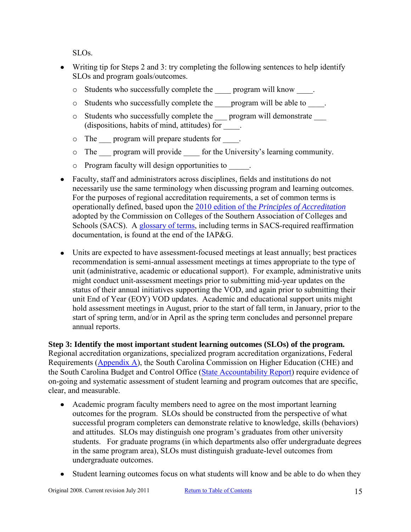SLOs.

- Writing tip for Steps 2 and 3: try completing the following sentences to help identify SLOs and program goals/outcomes.
	- o Students who successfully complete the \_\_\_\_ program will know \_\_\_\_.
	- o Students who successfully complete the \_\_\_\_program will be able to \_\_\_\_.
	- o Students who successfully complete the \_\_\_ program will demonstrate \_\_\_ (dispositions, habits of mind, attitudes) for \_\_\_\_.
	- $\circ$  The program will prepare students for  $\circ$ .
	- o The \_\_\_ program will provide \_\_\_\_ for the University's learning community.
	- o Program faculty will design opportunities to \_\_\_\_\_.
- Faculty, staff and administrators across disciplines, fields and institutions do not necessarily use the same terminology when discussing program and learning outcomes. For the purposes of regional accreditation requirements, a set of common terms is operationally defined, based upon the 2010 edition of the *[Principles of Accreditation](http://www.sacscoc.org/pdf/2010principlesofacreditation.pdf)* adopted by the Commission on Colleges of the Southern Association of Colleges and Schools (SACS). A [glossary of terms,](#page-50-0) including terms in SACS-required reaffirmation documentation, is found at the end of the IAP&G.
- Units are expected to have assessment-focused meetings at least annually; best practices recommendation is semi-annual assessment meetings at times appropriate to the type of unit (administrative, academic or educational support). For example, administrative units might conduct unit-assessment meetings prior to submitting mid-year updates on the status of their annual initiatives supporting the VOD, and again prior to submitting their unit End of Year (EOY) VOD updates. Academic and educational support units might hold assessment meetings in August, prior to the start of fall term, in January, prior to the start of spring term, and/or in April as the spring term concludes and personnel prepare annual reports.

<span id="page-14-0"></span>**Step 3: Identify the most important student learning outcomes (SLOs) of the program.**  Regional accreditation organizations, specialized program accreditation organizations, Federal Requirements [\(Appendix A\)](#page-32-0), the South Carolina Commission on Higher Education (CHE) and the South Carolina Budget and Control Office [\(State Accountability Report\)](http://www.winthrop.edu/uploadedFiles/WU_Accountability%20Rpt_12-13-10.pdf) require evidence of on-going and systematic assessment of student learning and program outcomes that are specific, clear, and measurable.

- Academic program faculty members need to agree on the most important learning outcomes for the program. SLOs should be constructed from the perspective of what successful program completers can demonstrate relative to knowledge, skills (behaviors) and attitudes. SLOs may distinguish one program's graduates from other university students. For graduate programs (in which departments also offer undergraduate degrees in the same program area), SLOs must distinguish graduate-level outcomes from undergraduate outcomes.
- Student learning outcomes focus on what students will know and be able to do when they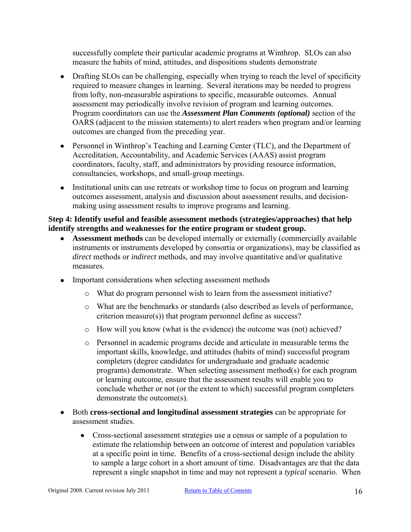successfully complete their particular academic programs at Winthrop. SLOs can also measure the habits of mind, attitudes, and dispositions students demonstrate

- Drafting SLOs can be challenging, especially when trying to reach the level of specificity  $\bullet$ required to measure changes in learning. Several iterations may be needed to progress from lofty, non-measurable aspirations to specific, measurable outcomes. Annual assessment may periodically involve revision of program and learning outcomes. Program coordinators can use the *Assessment Plan Comments (optional)* section of the OARS (adjacent to the mission statements) to alert readers when program and/or learning outcomes are changed from the preceding year.
- Personnel in Winthrop's Teaching and Learning Center (TLC), and the Department of Accreditation, Accountability, and Academic Services (AAAS) assist program coordinators, faculty, staff, and administrators by providing resource information, consultancies, workshops, and small-group meetings.
- Institutional units can use retreats or workshop time to focus on program and learning outcomes assessment, analysis and discussion about assessment results, and decisionmaking using assessment results to improve programs and learning.

#### <span id="page-15-0"></span>**Step 4: Identify useful and feasible assessment methods (strategies/approaches) that help identify strengths and weaknesses for the entire program or student group.**

- **Assessment methods** can be developed internally or externally (commercially available instruments or instruments developed by consortia or organizations), may be classified as *direct* methods or *indirect* methods, and may involve quantitative and/or qualitative measures.
- Important considerations when selecting assessment methods
	- o What do program personnel wish to learn from the assessment initiative?
	- o What are the benchmarks or standards (also described as levels of performance, criterion measure(s)) that program personnel define as success?
	- o How will you know (what is the evidence) the outcome was (not) achieved?
	- o Personnel in academic programs decide and articulate in measurable terms the important skills, knowledge, and attitudes (habits of mind) successful program completers (degree candidates for undergraduate and graduate academic programs) demonstrate. When selecting assessment method(s) for each program or learning outcome, ensure that the assessment results will enable you to conclude whether or not (or the extent to which) successful program completers demonstrate the outcome(s).
- Both **cross-sectional and longitudinal assessment strategies** can be appropriate for assessment studies.
	- Cross-sectional assessment strategies use a census or sample of a population to estimate the relationship between an outcome of interest and population variables at a specific point in time. Benefits of a cross-sectional design include the ability to sample a large cohort in a short amount of time. Disadvantages are that the data represent a single snapshot in time and may not represent a *typical* scenario. When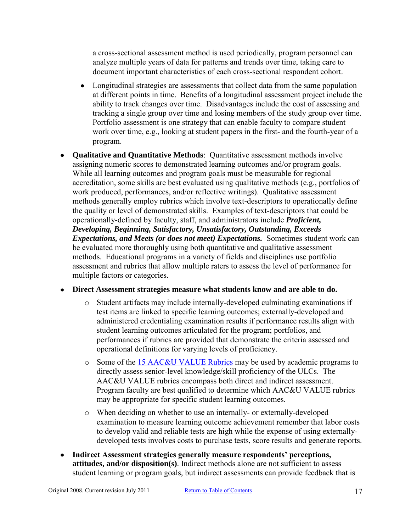a cross-sectional assessment method is used periodically, program personnel can analyze multiple years of data for patterns and trends over time, taking care to document important characteristics of each cross-sectional respondent cohort.

- $\bullet$ Longitudinal strategies are assessments that collect data from the same population at different points in time. Benefits of a longitudinal assessment project include the ability to track changes over time. Disadvantages include the cost of assessing and tracking a single group over time and losing members of the study group over time. Portfolio assessment is one strategy that can enable faculty to compare student work over time, e.g., looking at student papers in the first- and the fourth-year of a program.
- **Qualitative and Quantitative Methods**: Quantitative assessment methods involve assigning numeric scores to demonstrated learning outcomes and/or program goals. While all learning outcomes and program goals must be measurable for regional accreditation, some skills are best evaluated using qualitative methods (e.g., portfolios of work produced, performances, and/or reflective writings). Qualitative assessment methods generally employ rubrics which involve text-descriptors to operationally define the quality or level of demonstrated skills. Examples of text-descriptors that could be operationally-defined by faculty, staff, and administrators include *Proficient, Developing, Beginning, Satisfactory, Unsatisfactory, Outstanding, Exceeds Expectations, and Meets (or does not meet) Expectations.* Sometimes student work can be evaluated more thoroughly using both quantitative and qualitative assessment methods. Educational programs in a variety of fields and disciplines use portfolio assessment and rubrics that allow multiple raters to assess the level of performance for multiple factors or categories.

#### **Direct Assessment strategies measure what students know and are able to do.**

- o Student artifacts may include internally-developed culminating examinations if test items are linked to specific learning outcomes; externally-developed and administered credentialing examination results if performance results align with student learning outcomes articulated for the program; portfolios, and performances if rubrics are provided that demonstrate the criteria assessed and operational definitions for varying levels of proficiency.
- o Some of the [15 AAC&U VALUE Rubrics](http://www.aacu.org/value/abouttherubrics.cfm) may be used by academic programs to directly assess senior-level knowledge/skill proficiency of the ULCs. The AAC&U VALUE rubrics encompass both direct and indirect assessment. Program faculty are best qualified to determine which AAC&U VALUE rubrics may be appropriate for specific student learning outcomes.
- o When deciding on whether to use an internally- or externally-developed examination to measure learning outcome achievement remember that labor costs to develop valid and reliable tests are high while the expense of using externallydeveloped tests involves costs to purchase tests, score results and generate reports.
- **Indirect Assessment strategies generally measure respondents' perceptions,**   $\bullet$ **attitudes, and/or disposition(s)**. Indirect methods alone are not sufficient to assess student learning or program goals, but indirect assessments can provide feedback that is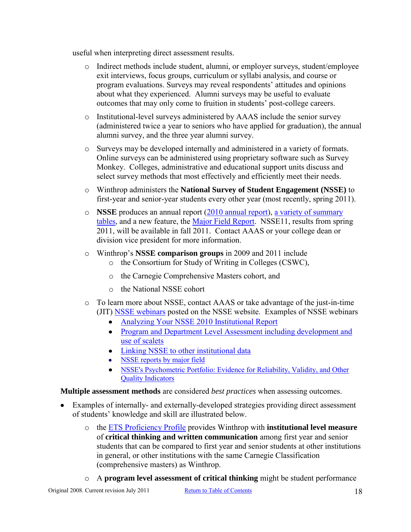useful when interpreting direct assessment results.

- o Indirect methods include student, alumni, or employer surveys, student/employee exit interviews, focus groups, curriculum or syllabi analysis, and course or program evaluations. Surveys may reveal respondents' attitudes and opinions about what they experienced. Alumni surveys may be useful to evaluate outcomes that may only come to fruition in students' post-college careers.
- o Institutional-level surveys administered by AAAS include the senior survey (administered twice a year to seniors who have applied for graduation), the annual alumni survey, and the three year alumni survey.
- o Surveys may be developed internally and administered in a variety of formats. Online surveys can be administered using proprietary software such as Survey Monkey. Colleges, administrative and educational support units discuss and select survey methods that most effectively and efficiently meet their needs.
- o Winthrop administers the **National Survey of Student Engagement (NSSE)** to first-year and senior-year students every other year (most recently, spring 2011).
- o **NSSE** produces an annual report [\(2010 annual report\)](http://nsse.iub.edu/html/annual_results.cfm), [a variety of summary](http://nsse.iub.edu/html/summary_tables.cfm)  [tables,](http://nsse.iub.edu/html/summary_tables.cfm) and a new feature, the [Major Field Report.](http://nsse.iub.edu/html/major_field_report.cfm) NSSE11, results from spring 2011, will be available in fall 2011. Contact AAAS or your college dean or division vice president for more information.
- o Winthrop's **NSSE comparison groups** in 2009 and 2011 include
	- o the Consortium for Study of Writing in Colleges (CSWC),
	- o the Carnegie Comprehensive Masters cohort, and
	- o the National NSSE cohort
- o To learn more about NSSE, contact AAAS or take advantage of the just-in-time (JIT) [NSSE webinars](http://nsse.iub.edu/webinars/) posted on the NSSE website. Examples of NSSE webinars
	- [Analyzing Your NSSE 2010 Institutional Report](http://breeze.iu.edu/p89943281/?launcher=false&fcsContent=true&pbMode=normal)
	- [Program and Department Level Assessment including development and](http://breeze.iu.edu/p35006540/?launcher=false&fcsContent=true&pbMode=normal)  [use of scalets](http://breeze.iu.edu/p35006540/?launcher=false&fcsContent=true&pbMode=normal)
	- [Linking NSSE to other institutional data](http://breeze.iu.edu/p47324875/?launcher=false&fcsContent=true&pbMode=normal)
	- [NSSE reports by major field](http://breeze.iu.edu/p22161163/?launcher=false&fcsContent=true&pbMode=normal)
	- NSSE's Psychometric Portfolio: Evidence for Reliability, Validity, and Other [Quality Indicators](http://breeze.iu.edu/p82545876/?launcher=false&fcsContent=true&pbMode=normal)

**Multiple assessment methods** are considered *best practices* when assessing outcomes.

- Examples of internally- and externally-developed strategies providing direct assessment of students' knowledge and skill are illustrated below.
	- o the [ETS Proficiency Profile](http://www.ets.org/proficiencyprofile/scores/) provides Winthrop with **institutional level measure** of **critical thinking and written communication** among first year and senior students that can be compared to first year and senior students at other institutions in general, or other institutions with the same Carnegie Classification (comprehensive masters) as Winthrop.
	- o A **program level assessment of critical thinking** might be student performance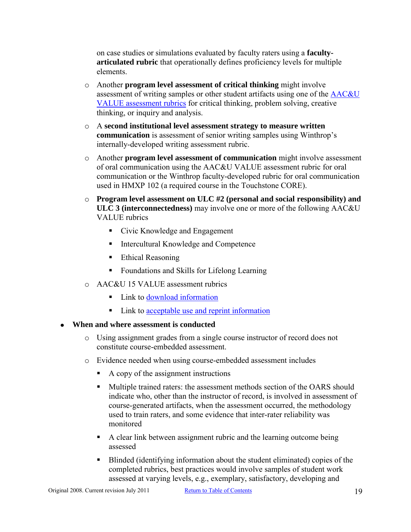on case studies or simulations evaluated by faculty raters using a **facultyarticulated rubric** that operationally defines proficiency levels for multiple elements.

- o Another **program level assessment of critical thinking** might involve assessment of writing samples or other student artifacts using one of the [AAC&U](http://www.aacu.org/value/abouttherubrics.cfm)  [VALUE assessment rubrics](http://www.aacu.org/value/abouttherubrics.cfm) for critical thinking, problem solving, creative thinking, or inquiry and analysis.
- o A **second institutional level assessment strategy to measure written communication** is assessment of senior writing samples using Winthrop's internally-developed writing assessment rubric.
- o Another **program level assessment of communication** might involve assessment of oral communication using the AAC&U VALUE assessment rubric for oral communication or the Winthrop faculty-developed rubric for oral communication used in HMXP 102 (a required course in the Touchstone CORE).
- o **Program level assessment on ULC #2 (personal and social responsibility) and ULC 3 (interconnectedness)** may involve one or more of the following AAC&U VALUE rubrics
	- Civic Knowledge and Engagement
	- Intercultural Knowledge and Competence
	- Ethical Reasoning
	- Foundations and Skills for Lifelong Learning
- o AAC&U 15 VALUE assessment rubrics
	- Link to [download information](http://www.aacu.org/value/rubrics/index_p.cfm?CFID=33314145&CFTOKEN=59616607)
	- Link to <u>acceptable use and reprint information</u>

#### **When and where assessment is conducted**

- o Using assignment grades from a single course instructor of record does not constitute course-embedded assessment.
- o Evidence needed when using course-embedded assessment includes
	- $\blacksquare$  A copy of the assignment instructions
	- **Multiple trained raters: the assessment methods section of the OARS should** indicate who, other than the instructor of record, is involved in assessment of course-generated artifacts, when the assessment occurred, the methodology used to train raters, and some evidence that inter-rater reliability was monitored
	- A clear link between assignment rubric and the learning outcome being assessed
	- Blinded (identifying information about the student eliminated) copies of the completed rubrics, best practices would involve samples of student work assessed at varying levels, e.g., exemplary, satisfactory, developing and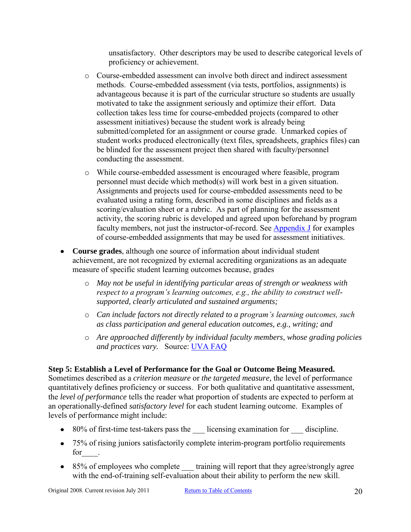unsatisfactory. Other descriptors may be used to describe categorical levels of proficiency or achievement.

- o Course-embedded assessment can involve both direct and indirect assessment methods. Course-embedded assessment (via tests, portfolios, assignments) is advantageous because it is part of the curricular structure so students are usually motivated to take the assignment seriously and optimize their effort. Data collection takes less time for course-embedded projects (compared to other assessment initiatives) because the student work is already being submitted/completed for an assignment or course grade. Unmarked copies of student works produced electronically (text files, spreadsheets, graphics files) can be blinded for the assessment project then shared with faculty/personnel conducting the assessment.
- o While course-embedded assessment is encouraged where feasible, program personnel must decide which method(s) will work best in a given situation. Assignments and projects used for course-embedded assessments need to be evaluated using a rating form, described in some disciplines and fields as a scoring/evaluation sheet or a rubric. As part of planning for the assessment activity, the scoring rubric is developed and agreed upon beforehand by program faculty members, not just the instructor-of-record. See [Appendix J](#page-48-0) for examples of course-embedded assignments that may be used for assessment initiatives.
- **Course grades**, although one source of information about individual student achievement, are not recognized by external accrediting organizations as an adequate measure of specific student learning outcomes because, grades
	- o *May not be useful in identifying particular areas of strength or weakness with respect to a program's learning outcomes, e.g., the ability to construct wellsupported, clearly articulated and sustained arguments;*
	- o *Can include factors not directly related to a program's learning outcomes, such as class participation and general education outcomes, e.g., writing; and*
	- o *Are approached differently by individual faculty members, whose grading policies and practices vary.* Source: [UVA FAQ](http://www.web.virginia.edu/iaas/assess/faq/assessment.shtm)

## <span id="page-19-0"></span>**Step 5: Establish a Level of Performance for the Goal or Outcome Being Measured.**

Sometimes described as a *criterion measure* or *the targeted measure,* the level of performance quantitatively defines proficiency or success. For both qualitative and quantitative assessment, the *level of performance* tells the reader what proportion of students are expected to perform at an operationally-defined *satisfactory level* for each student learning outcome. Examples of levels of performance might include:

- 80% of first-time test-takers pass the licensing examination for discipline.
- 75% of rising juniors satisfactorily complete interim-program portfolio requirements for  $\qquad$ .
- 85% of employees who complete training will report that they agree/strongly agree with the end-of-training self-evaluation about their ability to perform the new skill.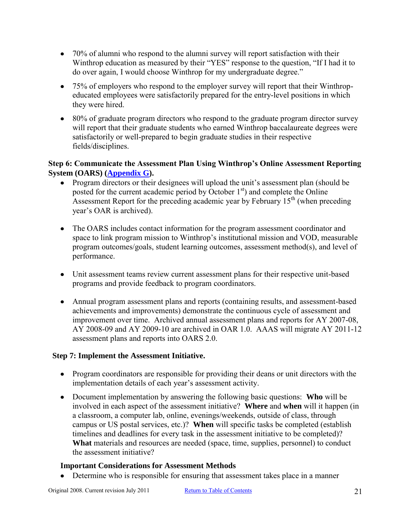- 70% of alumni who respond to the alumni survey will report satisfaction with their Winthrop education as measured by their "YES" response to the question, "If I had it to do over again, I would choose Winthrop for my undergraduate degree."
- 75% of employers who respond to the employer survey will report that their Winthropeducated employees were satisfactorily prepared for the entry-level positions in which they were hired.
- 80% of graduate program directors who respond to the graduate program director survey will report that their graduate students who earned Winthrop baccalaureate degrees were satisfactorily or well-prepared to begin graduate studies in their respective fields/disciplines.

## <span id="page-20-0"></span>**Step 6: Communicate the Assessment Plan Using Winthrop's Online Assessment Reporting System (OARS) [\(Appendix G\)](#page-45-0).**

- Program directors or their designees will upload the unit's assessment plan (should be posted for the current academic period by October  $1<sup>st</sup>$  and complete the Online Assessment Report for the preceding academic year by February  $15<sup>th</sup>$  (when preceding year's OAR is archived).
- The OARS includes contact information for the program assessment coordinator and space to link program mission to Winthrop's institutional mission and VOD, measurable program outcomes/goals, student learning outcomes, assessment method(s), and level of performance.
- Unit assessment teams review current assessment plans for their respective unit-based programs and provide feedback to program coordinators.
- Annual program assessment plans and reports (containing results, and assessment-based achievements and improvements) demonstrate the continuous cycle of assessment and improvement over time. Archived annual assessment plans and reports for AY 2007-08, AY 2008-09 and AY 2009-10 are archived in OAR 1.0. AAAS will migrate AY 2011-12 assessment plans and reports into OARS 2.0.

## <span id="page-20-1"></span>**Step 7: Implement the Assessment Initiative.**

- Program coordinators are responsible for providing their deans or unit directors with the implementation details of each year's assessment activity.
- Document implementation by answering the following basic questions: **Who** will be involved in each aspect of the assessment initiative? **Where** and **when** will it happen (in a classroom, a computer lab, online, evenings/weekends, outside of class, through campus or US postal services, etc.)? **When** will specific tasks be completed (establish timelines and deadlines for every task in the assessment initiative to be completed)? **What** materials and resources are needed (space, time, supplies, personnel) to conduct the assessment initiative?

#### **Important Considerations for Assessment Methods**

Determine who is responsible for ensuring that assessment takes place in a manner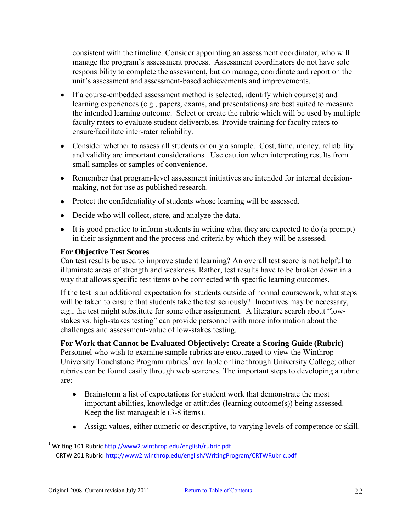consistent with the timeline. Consider appointing an assessment coordinator, who will manage the program's assessment process. Assessment coordinators do not have sole responsibility to complete the assessment, but do manage, coordinate and report on the unit's assessment and assessment-based achievements and improvements.

- If a course-embedded assessment method is selected, identify which course(s) and learning experiences (e.g., papers, exams, and presentations) are best suited to measure the intended learning outcome. Select or create the rubric which will be used by multiple faculty raters to evaluate student deliverables. Provide training for faculty raters to ensure/facilitate inter-rater reliability.
- Consider whether to assess all students or only a sample. Cost, time, money, reliability and validity are important considerations. Use caution when interpreting results from small samples or samples of convenience.
- Remember that program-level assessment initiatives are intended for internal decisionmaking, not for use as published research.
- Protect the confidentiality of students whose learning will be assessed.
- Decide who will collect, store, and analyze the data.
- It is good practice to inform students in writing what they are expected to do (a prompt) in their assignment and the process and criteria by which they will be assessed.

## **For Objective Test Scores**

 $\overline{a}$ 

Can test results be used to improve student learning? An overall test score is not helpful to illuminate areas of strength and weakness. Rather, test results have to be broken down in a way that allows specific test items to be connected with specific learning outcomes.

If the test is an additional expectation for students outside of normal coursework, what steps will be taken to ensure that students take the test seriously? Incentives may be necessary, e.g., the test might substitute for some other assignment. A literature search about "lowstakes vs. high-stakes testing" can provide personnel with more information about the challenges and assessment-value of low-stakes testing.

## **For Work that Cannot be Evaluated Objectively: Create a Scoring Guide (Rubric)**

Personnel who wish to examine sample rubrics are encouraged to view the Winthrop University Touchstone Program rubrics<sup>1</sup> available online through University College; other rubrics can be found easily through web searches. The important steps to developing a rubric are:

- Brainstorm a list of expectations for student work that demonstrate the most important abilities, knowledge or attitudes (learning outcome(s)) being assessed. Keep the list manageable (3-8 items).
- Assign values, either numeric or descriptive, to varying levels of competence or skill.

<sup>&</sup>lt;sup>1</sup> Writing 101 Rubric <u>http://www2.winthrop.edu/english/rubric.pdf</u> CRTW 201 Rubric <http://www2.winthrop.edu/english/WritingProgram/CRTWRubric.pdf>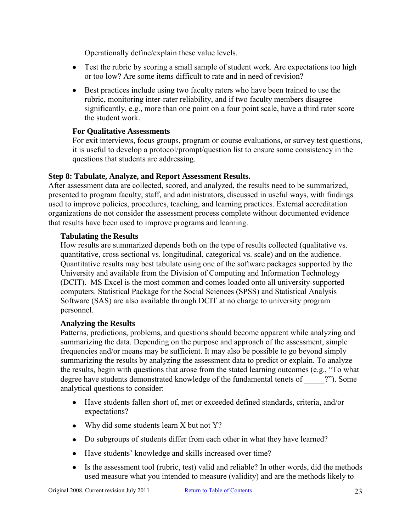Operationally define/explain these value levels.

- Test the rubric by scoring a small sample of student work. Are expectations too high or too low? Are some items difficult to rate and in need of revision?
- Best practices include using two faculty raters who have been trained to use the rubric, monitoring inter-rater reliability, and if two faculty members disagree significantly, e.g., more than one point on a four point scale, have a third rater score the student work.

#### **For Qualitative Assessments**

For exit interviews, focus groups, program or course evaluations, or survey test questions, it is useful to develop a protocol/prompt/question list to ensure some consistency in the questions that students are addressing.

#### <span id="page-22-0"></span>**Step 8: Tabulate, Analyze, and Report Assessment Results.**

After assessment data are collected, scored, and analyzed, the results need to be summarized, presented to program faculty, staff, and administrators, discussed in useful ways, with findings used to improve policies, procedures, teaching, and learning practices. External accreditation organizations do not consider the assessment process complete without documented evidence that results have been used to improve programs and learning.

#### **Tabulating the Results**

How results are summarized depends both on the type of results collected (qualitative vs. quantitative, cross sectional vs. longitudinal, categorical vs. scale) and on the audience. Quantitative results may best tabulate using one of the software packages supported by the University and available from the Division of Computing and Information Technology (DCIT). MS Excel is the most common and comes loaded onto all university-supported computers. Statistical Package for the Social Sciences (SPSS) and Statistical Analysis Software (SAS) are also available through DCIT at no charge to university program personnel.

#### **Analyzing the Results**

Patterns, predictions, problems, and questions should become apparent while analyzing and summarizing the data. Depending on the purpose and approach of the assessment, simple frequencies and/or means may be sufficient. It may also be possible to go beyond simply summarizing the results by analyzing the assessment data to predict or explain. To analyze the results, begin with questions that arose from the stated learning outcomes (e.g., "To what degree have students demonstrated knowledge of the fundamental tenets of  $\hspace{1cm}$  ?"). Some analytical questions to consider:

- Have students fallen short of, met or exceeded defined standards, criteria, and/or expectations?
- Why did some students learn X but not Y?
- Do subgroups of students differ from each other in what they have learned?
- Have students' knowledge and skills increased over time?
- Is the assessment tool (rubric, test) valid and reliable? In other words, did the methods used measure what you intended to measure (validity) and are the methods likely to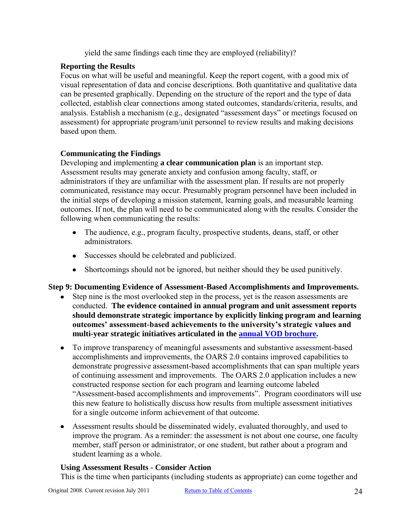yield the same findings each time they are employed (reliability)?

## **Reporting the Results**

Focus on what will be useful and meaningful. Keep the report cogent, with a good mix of visual representation of data and concise descriptions. Both quantitative and qualitative data can be presented graphically. Depending on the structure of the report and the type of data collected, establish clear connections among stated outcomes, standards/criteria, results, and analysis. Establish a mechanism (e.g., designated "assessment days" or meetings focused on assessment) for appropriate program/unit personnel to review results and making decisions based upon them.

## **Communicating the Findings**

Developing and implementing **a clear communication plan** is an important step. Assessment results may generate anxiety and confusion among faculty, staff, or administrators if they are unfamiliar with the assessment plan. If results are not properly communicated, resistance may occur. Presumably program personnel have been included in the initial steps of developing a mission statement, learning goals, and measurable learning outcomes. If not, the plan will need to be communicated along with the results. Consider the following when communicating the results:

- The audience, e.g., program faculty, prospective students, deans, staff, or other administrators.
- Successes should be celebrated and publicized.
- Shortcomings should not be ignored, but neither should they be used punitively.

## <span id="page-23-0"></span>**Step 9: Documenting Evidence of Assessment-Based Accomplishments and Improvements.**

- Step nine is the most overlooked step in the process, yet is the reason assessments are conducted. **The evidence contained in annual program and unit assessment reports should demonstrate strategic importance by explicitly linking program and learning outcomes' assessment-based achievements to the university's strategic values and multi-year strategic initiatives articulated in the [annual VOD brochure.](http://www.winthrop.edu/uploadedFiles/president/2010-11_VoD_color.pdf)**
- To improve transparency of meaningful assessments and substantive assessment-based  $\bullet$ accomplishments and improvements, the OARS 2.0 contains improved capabilities to demonstrate progressive assessment-based accomplishments that can span multiple years of continuing assessment and improvements. The OARS 2.0 application includes a new constructed response section for each program and learning outcome labeled "Assessment-based accomplishments and improvements". Program coordinators will use this new feature to holistically discuss how results from multiple assessment initiatives for a single outcome inform achievement of that outcome.
- Assessment results should be disseminated widely, evaluated thoroughly, and used to improve the program. As a reminder: the assessment is not about one course, one faculty member, staff person or administrator, or one student, but rather about a program and student learning as a whole.

## **Using Assessment Results - Consider Action**

This is the time when participants (including students as appropriate) can come together and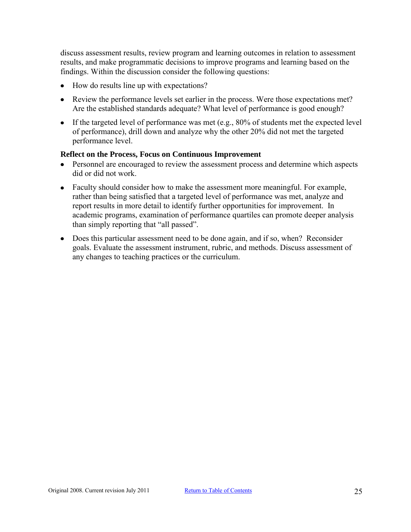discuss assessment results, review program and learning outcomes in relation to assessment results, and make programmatic decisions to improve programs and learning based on the findings. Within the discussion consider the following questions:

- How do results line up with expectations?
- Review the performance levels set earlier in the process. Were those expectations met? Are the established standards adequate? What level of performance is good enough?
- If the targeted level of performance was met (e.g.,  $80\%$  of students met the expected level of performance), drill down and analyze why the other 20% did not met the targeted performance level.

#### **Reflect on the Process, Focus on Continuous Improvement**

- Personnel are encouraged to review the assessment process and determine which aspects did or did not work.
- Faculty should consider how to make the assessment more meaningful. For example, rather than being satisfied that a targeted level of performance was met, analyze and report results in more detail to identify further opportunities for improvement. In academic programs, examination of performance quartiles can promote deeper analysis than simply reporting that "all passed".
- Does this particular assessment need to be done again, and if so, when? Reconsider goals. Evaluate the assessment instrument, rubric, and methods. Discuss assessment of any changes to teaching practices or the curriculum.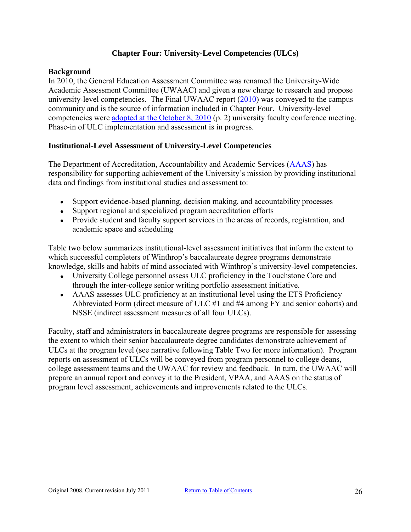## **Chapter Four: University-Level Competencies (ULCs)**

#### <span id="page-25-1"></span><span id="page-25-0"></span>**Background**

In 2010, the General Education Assessment Committee was renamed the University-Wide Academic Assessment Committee (UWAAC) and given a new charge to research and propose university-level competencies. The Final UWAAC report [\(2010\)](http://www2.winthrop.edu/facultyconference/UWAAC_Final%20Report_%200910.pdf) was conveyed to the campus community and is the source of information included in Chapter Four. University-level competencies were [adopted at the October 8, 2010](http://www2.winthrop.edu/facultyconference/FC_minutes_8_Oct_2010.pdf) (p. 2) university faculty conference meeting. Phase-in of ULC implementation and assessment is in progress.

#### <span id="page-25-2"></span>**Institutional-Level Assessment of University-Level Competencies**

The Department of Accreditation, Accountability and Academic Services [\(AAAS\)](http://www.winthrop.edu/accountability/) has responsibility for supporting achievement of the University's mission by providing institutional data and findings from institutional studies and assessment to:

- Support evidence-based planning, decision making, and accountability processes
- Support regional and specialized program accreditation efforts
- Provide student and faculty support services in the areas of records, registration, and academic space and scheduling

Table two below summarizes institutional-level assessment initiatives that inform the extent to which successful completers of Winthrop's baccalaureate degree programs demonstrate knowledge, skills and habits of mind associated with Winthrop's university-level competencies.

- University College personnel assess ULC proficiency in the Touchstone Core and through the inter-college senior writing portfolio assessment initiative.
- AAAS assesses ULC proficiency at an institutional level using the ETS Proficiency Abbreviated Form (direct measure of ULC #1 and #4 among FY and senior cohorts) and NSSE (indirect assessment measures of all four ULCs).

Faculty, staff and administrators in baccalaureate degree programs are responsible for assessing the extent to which their senior baccalaureate degree candidates demonstrate achievement of ULCs at the program level (see narrative following Table Two for more information). Program reports on assessment of ULCs will be conveyed from program personnel to college deans, college assessment teams and the UWAAC for review and feedback. In turn, the UWAAC will prepare an annual report and convey it to the President, VPAA, and AAAS on the status of program level assessment, achievements and improvements related to the ULCs.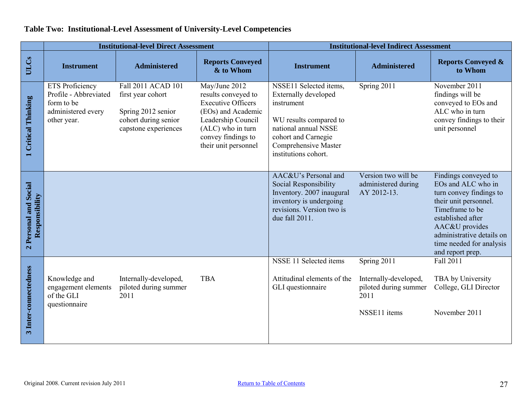|                                         | <b>Institutional-level Direct Assessment</b>                                                       |                                                                                                               | <b>Institutional-level Indirect Assessment</b>                                                                                                                                   |                                                                                                                                                                                              |                                                                                       |                                                                                                                                                                                                                                       |
|-----------------------------------------|----------------------------------------------------------------------------------------------------|---------------------------------------------------------------------------------------------------------------|----------------------------------------------------------------------------------------------------------------------------------------------------------------------------------|----------------------------------------------------------------------------------------------------------------------------------------------------------------------------------------------|---------------------------------------------------------------------------------------|---------------------------------------------------------------------------------------------------------------------------------------------------------------------------------------------------------------------------------------|
| ULCs                                    | <b>Instrument</b>                                                                                  | <b>Administered</b>                                                                                           | <b>Reports Conveyed</b><br>& to Whom                                                                                                                                             | <b>Instrument</b>                                                                                                                                                                            | <b>Administered</b>                                                                   | <b>Reports Conveyed &amp;</b><br>to Whom                                                                                                                                                                                              |
| 1 Critical Thinking                     | <b>ETS</b> Proficiency<br>Profile - Abbreviated<br>form to be<br>administered every<br>other year. | Fall 2011 ACAD 101<br>first year cohort<br>Spring 2012 senior<br>cohort during senior<br>capstone experiences | May/June 2012<br>results conveyed to<br><b>Executive Officers</b><br>(EOs) and Academic<br>Leadership Council<br>(ALC) who in turn<br>convey findings to<br>their unit personnel | NSSE11 Selected items,<br><b>Externally developed</b><br>instrument<br>WU results compared to<br>national annual NSSE<br>cohort and Carnegie<br>Comprehensive Master<br>institutions cohort. | Spring 2011                                                                           | November 2011<br>findings will be<br>conveyed to EOs and<br>ALC who in turn<br>convey findings to their<br>unit personnel                                                                                                             |
| 2 Personal and Social<br>Responsibility |                                                                                                    |                                                                                                               |                                                                                                                                                                                  | AAC&U's Personal and<br><b>Social Responsibility</b><br>Inventory. 2007 inaugural<br>inventory is undergoing<br>revisions. Version two is<br>due fall 2011.                                  | Version two will be<br>administered during<br>AY 2012-13.                             | Findings conveyed to<br>EOs and ALC who in<br>turn convey findings to<br>their unit personnel.<br>Timeframe to be<br>established after<br>AAC&U provides<br>administrative details on<br>time needed for analysis<br>and report prep. |
| 3 Inter-connectedness                   | Knowledge and<br>engagement elements<br>of the GLI<br>questionnaire                                | Internally-developed,<br>piloted during summer<br>2011                                                        | <b>TBA</b>                                                                                                                                                                       | NSSE 11 Selected items<br>Attitudinal elements of the<br>GLI questionnaire                                                                                                                   | Spring 2011<br>Internally-developed,<br>piloted during summer<br>2011<br>NSSE11 items | Fall 2011<br>TBA by University<br>College, GLI Director<br>November 2011                                                                                                                                                              |

# **Table Two: Institutional-Level Assessment of University-Level Competencies**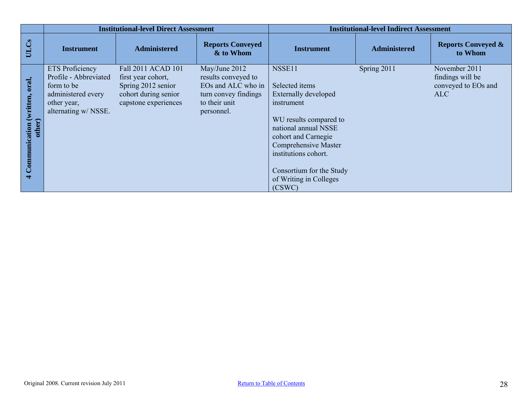|                                                                             | <b>Institutional-level Direct Assessment</b>                                                                               |                                                                                                                | <b>Institutional-level Indirect Assessment</b>                                                                    |                                                                                                                                                                                                                                                                       |                     |                                                                 |
|-----------------------------------------------------------------------------|----------------------------------------------------------------------------------------------------------------------------|----------------------------------------------------------------------------------------------------------------|-------------------------------------------------------------------------------------------------------------------|-----------------------------------------------------------------------------------------------------------------------------------------------------------------------------------------------------------------------------------------------------------------------|---------------------|-----------------------------------------------------------------|
| ULCs                                                                        | <b>Instrument</b>                                                                                                          | <b>Administered</b>                                                                                            | <b>Reports Conveyed</b><br>& to Whom                                                                              | <b>Instrument</b>                                                                                                                                                                                                                                                     | <b>Administered</b> | <b>Reports Conveyed &amp;</b><br>to Whom                        |
| oral,<br>aaton (written, etc.)<br>other)<br>Communication<br>$\overline{a}$ | <b>ETS</b> Proficiency<br>Profile - Abbreviated<br>form to be<br>administered every<br>other year,<br>alternating w/ NSSE. | Fall 2011 ACAD 101<br>first year cohort,<br>Spring 2012 senior<br>cohort during senior<br>capstone experiences | May/June 2012<br>results conveyed to<br>EOs and ALC who in<br>turn convey findings<br>to their unit<br>personnel. | NSSE11<br>Selected items<br><b>Externally developed</b><br>instrument<br>WU results compared to<br>national annual NSSE<br>cohort and Carnegie<br><b>Comprehensive Master</b><br>institutions cohort.<br>Consortium for the Study<br>of Writing in Colleges<br>(CSWC) | Spring 2011         | November 2011<br>findings will be<br>conveyed to EOs and<br>ALC |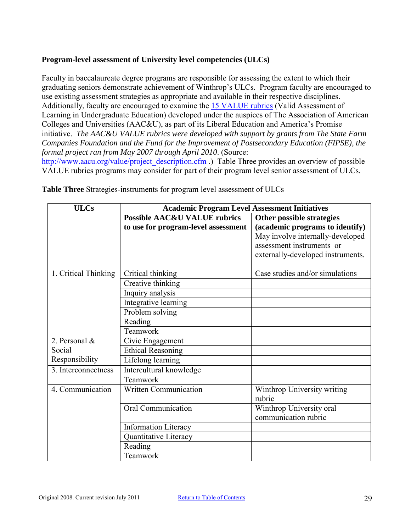## **Program-level assessment of University level competencies (ULCs)**

Faculty in baccalaureate degree programs are responsible for assessing the extent to which their graduating seniors demonstrate achievement of Winthrop's ULCs. Program faculty are encouraged to use existing assessment strategies as appropriate and available in their respective disciplines. Additionally, faculty are encouraged to examine the [15 VALUE rubrics](http://www.aacu.org/value/abouttherubrics.cfm) (Valid Assessment of Learning in Undergraduate Education) developed under the auspices of The Association of American Colleges and Universities (AAC&U), as part of its Liberal Education and America's Promise initiative. *The AAC&U VALUE rubrics were developed with support by grants from The State Farm Companies Foundation and the Fund for the Improvement of Postsecondary Education (FIPSE), the formal project ran from May 2007 through April 2010*. (Source: [http://www.aacu.org/value/project\\_description.cfm](http://www.aacu.org/value/project_description.cfm) .) Table Three provides an overview of possible VALUE rubrics programs may consider for part of their program level senior assessment of ULCs.

| <b>ULCs</b>          | <b>Academic Program Level Assessment Initiatives</b> |                                       |  |
|----------------------|------------------------------------------------------|---------------------------------------|--|
|                      | <b>Possible AAC&amp;U VALUE rubrics</b>              | Other possible strategies             |  |
|                      | to use for program-level assessment                  | (academic programs to identify)       |  |
|                      |                                                      | May involve internally-developed      |  |
|                      |                                                      | assessment instruments or             |  |
|                      |                                                      | externally-developed instruments.     |  |
|                      |                                                      |                                       |  |
| 1. Critical Thinking | Critical thinking                                    | Case studies and/or simulations       |  |
|                      | Creative thinking                                    |                                       |  |
|                      | Inquiry analysis                                     |                                       |  |
|                      | Integrative learning                                 |                                       |  |
|                      | Problem solving                                      |                                       |  |
|                      | Reading                                              |                                       |  |
|                      | Teamwork                                             |                                       |  |
| 2. Personal $\&$     | Civic Engagement                                     |                                       |  |
| Social               | <b>Ethical Reasoning</b>                             |                                       |  |
| Responsibility       | Lifelong learning                                    |                                       |  |
| 3. Interconnectness  | Intercultural knowledge                              |                                       |  |
|                      | Teamwork                                             |                                       |  |
| 4. Communication     | Written Communication                                | Winthrop University writing<br>rubric |  |
|                      | <b>Oral Communication</b>                            | Winthrop University oral              |  |
|                      |                                                      | communication rubric                  |  |
|                      |                                                      |                                       |  |
|                      | <b>Information Literacy</b>                          |                                       |  |
|                      | Quantitative Literacy                                |                                       |  |
|                      | Reading                                              |                                       |  |
|                      | Teamwork                                             |                                       |  |

**Table Three** Strategies-instruments for program level assessment of ULCs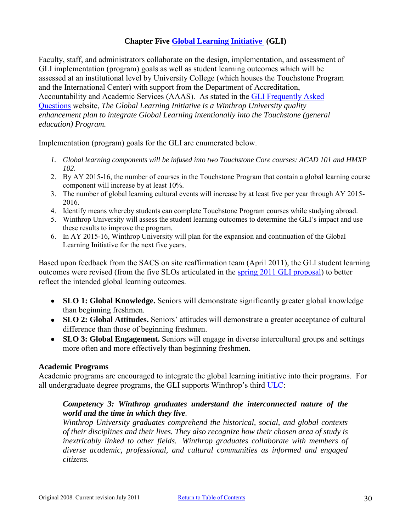## **Chapter Five [Global Learning Initiative](http://www2.winthrop.edu/gli/wuPublicGli.pdf) (GLI)**

<span id="page-29-0"></span>Faculty, staff, and administrators collaborate on the design, implementation, and assessment of GLI implementation (program) goals as well as student learning outcomes which will be assessed at an institutional level by University College (which houses the Touchstone Program and the International Center) with support from the Department of Accreditation, Accountability and Academic Services (AAAS). As stated in the [GLI Frequently Asked](http://www2.winthrop.edu/gli/FAQs.aspx)  [Questions](http://www2.winthrop.edu/gli/FAQs.aspx) website, *The Global Learning Initiative is a Winthrop University quality enhancement plan to integrate Global Learning intentionally into the Touchstone (general education) Program.* 

Implementation (program) goals for the GLI are enumerated below.

- *1. Global learning components will be infused into two Touchstone Core courses: ACAD 101 and HMXP 102.*
- 2. By AY 2015-16, the number of courses in the Touchstone Program that contain a global learning course component will increase by at least 10%.
- 3. The number of global learning cultural events will increase by at least five per year through AY 2015- 2016.
- 4. Identify means whereby students can complete Touchstone Program courses while studying abroad.
- 5. Winthrop University will assess the student learning outcomes to determine the GLI's impact and use these results to improve the program.
- 6. In AY 2015-16, Winthrop University will plan for the expansion and continuation of the Global Learning Initiative for the next five years.

Based upon feedback from the SACS on site reaffirmation team (April 2011), the GLI student learning outcomes were revised (from the five SLOs articulated in the [spring 2011 GLI proposal\)](http://www2.winthrop.edu/gli/wuPublicGli.pdf) to better reflect the intended global learning outcomes.

- **SLO 1: Global Knowledge.** Seniors will demonstrate significantly greater global knowledge than beginning freshmen.
- **SLO 2: Global Attitudes.** Seniors' attitudes will demonstrate a greater acceptance of cultural difference than those of beginning freshmen.
- **SLO 3: Global Engagement.** Seniors will engage in diverse intercultural groups and settings more often and more effectively than beginning freshmen.

#### **Academic Programs**

Academic programs are encouraged to integrate the global learning initiative into their programs. For all undergraduate degree programs, the GLI supports Winthrop's third [ULC:](http://www.winthrop.edu/academic-affairs/secondary.aspx?id=15731)

#### *Competency 3: Winthrop graduates understand the interconnected nature of the world and the time in which they live.*

*Winthrop University graduates comprehend the historical, social, and global contexts of their disciplines and their lives. They also recognize how their chosen area of study is inextricably linked to other fields. Winthrop graduates collaborate with members of diverse academic, professional, and cultural communities as informed and engaged citizens.*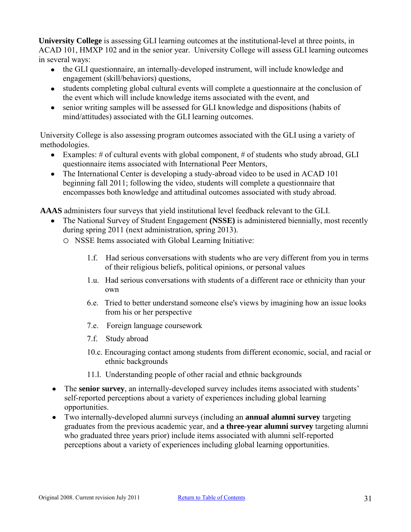**University College** is assessing GLI learning outcomes at the institutional-level at three points, in ACAD 101, HMXP 102 and in the senior year. University College will assess GLI learning outcomes in several ways:

- the GLI questionnaire, an internally-developed instrument, will include knowledge and engagement (skill/behaviors) questions,
- students completing global cultural events will complete a questionnaire at the conclusion of the event which will include knowledge items associated with the event, and
- senior writing samples will be assessed for GLI knowledge and dispositions (habits of mind/attitudes) associated with the GLI learning outcomes.

University College is also assessing program outcomes associated with the GLI using a variety of methodologies.

- Examples: # of cultural events with global component, # of students who study abroad, GLI questionnaire items associated with International Peer Mentors,
- The International Center is developing a study-abroad video to be used in ACAD 101 beginning fall 2011; following the video, students will complete a questionnaire that encompasses both knowledge and attitudinal outcomes associated with study abroad.

**AAAS** administers four surveys that yield institutional level feedback relevant to the GLI.

- The National Survey of Student Engagement **(NSSE)** is administered biennially, most recently during spring 2011 (next administration, spring 2013).
	- o NSSE Items associated with Global Learning Initiative:
		- 1.f. Had serious conversations with students who are very different from you in terms of their religious beliefs, political opinions, or personal values
		- 1.u. Had serious conversations with students of a different race or ethnicity than your own
		- 6.e. Tried to better understand someone else's views by imagining how an issue looks from his or her perspective
		- 7.e. Foreign language coursework
		- 7.f. Study abroad
		- 10.c. Encouraging contact among students from different economic, social, and racial or ethnic backgrounds
		- 11.l. Understanding people of other racial and ethnic backgrounds
- The **senior survey**, an internally-developed survey includes items associated with students'  $\bullet$ self-reported perceptions about a variety of experiences including global learning opportunities.
- Two internally-developed alumni surveys (including an **annual alumni survey** targeting  $\bullet$ graduates from the previous academic year, and **a three-year alumni survey** targeting alumni who graduated three years prior) include items associated with alumni self-reported perceptions about a variety of experiences including global learning opportunities.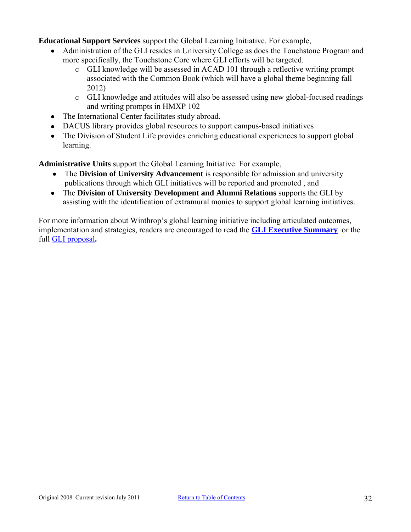**Educational Support Services** support the Global Learning Initiative. For example,

- Administration of the GLI resides in University College as does the Touchstone Program and more specifically, the Touchstone Core where GLI efforts will be targeted.
	- o GLI knowledge will be assessed in ACAD 101 through a reflective writing prompt associated with the Common Book (which will have a global theme beginning fall 2012)
	- o GLI knowledge and attitudes will also be assessed using new global-focused readings and writing prompts in HMXP 102
- The International Center facilitates study abroad.
- DACUS library provides global resources to support campus-based initiatives
- The Division of Student Life provides enriching educational experiences to support global learning.

**Administrative Units** support the Global Learning Initiative. For example,

- The **Division of University Advancement** is responsible for admission and university publications through which GLI initiatives will be reported and promoted , and
- The **Division of University Development and Alumni Relations** supports the GLI by assisting with the identification of extramural monies to support global learning initiatives.

For more information about Winthrop's global learning initiative including articulated outcomes, implementation and strategies, readers are encouraged to read the **[GLI Executive Summary](http://www2.winthrop.edu/gli/execSummary.aspx)** or the full [GLI proposal](http://www2.winthrop.edu/gli/wuPublicGli.pdf)**.**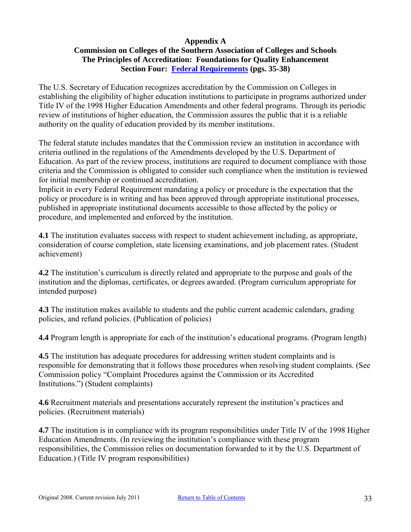#### **Appendix A**

## <span id="page-32-0"></span>**Commission on Colleges of the Southern Association of Colleges and Schools The Principles of Accreditation: Foundations for Quality Enhancement Section Four: [Federal Requirements](http://www.sacscoc.org/pdf/2010principlesofacreditation.pdf) (pgs. 35-38)**

The U.S. Secretary of Education recognizes accreditation by the Commission on Colleges in establishing the eligibility of higher education institutions to participate in programs authorized under Title IV of the 1998 Higher Education Amendments and other federal programs. Through its periodic review of institutions of higher education, the Commission assures the public that it is a reliable authority on the quality of education provided by its member institutions.

The federal statute includes mandates that the Commission review an institution in accordance with criteria outlined in the regulations of the Amendments developed by the U.S. Department of Education. As part of the review process, institutions are required to document compliance with those criteria and the Commission is obligated to consider such compliance when the institution is reviewed for initial membership or continued accreditation.

Implicit in every Federal Requirement mandating a policy or procedure is the expectation that the policy or procedure is in writing and has been approved through appropriate institutional processes, published in appropriate institutional documents accessible to those affected by the policy or procedure, and implemented and enforced by the institution.

**4.1** The institution evaluates success with respect to student achievement including, as appropriate, consideration of course completion, state licensing examinations, and job placement rates. (Student achievement)

**4.2** The institution's curriculum is directly related and appropriate to the purpose and goals of the institution and the diplomas, certificates, or degrees awarded. (Program curriculum appropriate for intended purpose)

**4.3** The institution makes available to students and the public current academic calendars, grading policies, and refund policies. (Publication of policies)

**4.4** Program length is appropriate for each of the institution's educational programs. (Program length)

**4.5** The institution has adequate procedures for addressing written student complaints and is responsible for demonstrating that it follows those procedures when resolving student complaints. (See Commission policy "Complaint Procedures against the Commission or its Accredited Institutions.") (Student complaints)

**4.6** Recruitment materials and presentations accurately represent the institution's practices and policies. (Recruitment materials)

**4.7** The institution is in compliance with its program responsibilities under Title IV of the 1998 Higher Education Amendments. (In reviewing the institution's compliance with these program responsibilities, the Commission relies on documentation forwarded to it by the U.S. Department of Education.) (Title IV program responsibilities)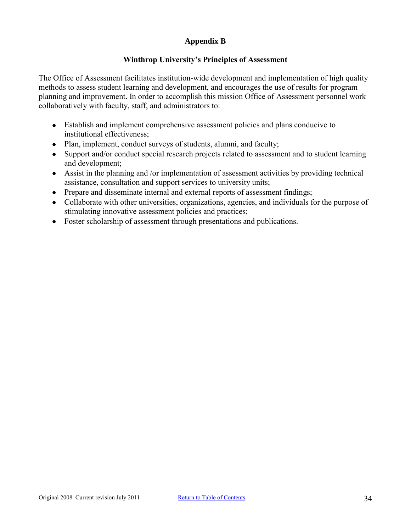## **Appendix B**

#### **Winthrop University's Principles of Assessment**

<span id="page-33-0"></span>The Office of Assessment facilitates institution-wide development and implementation of high quality methods to assess student learning and development, and encourages the use of results for program planning and improvement. In order to accomplish this mission Office of Assessment personnel work collaboratively with faculty, staff, and administrators to:

- Establish and implement comprehensive assessment policies and plans conducive to institutional effectiveness;
- Plan, implement, conduct surveys of students, alumni, and faculty;  $\bullet$
- Support and/or conduct special research projects related to assessment and to student learning  $\bullet$ and development;
- $\bullet$ Assist in the planning and /or implementation of assessment activities by providing technical assistance, consultation and support services to university units;
- Prepare and disseminate internal and external reports of assessment findings;  $\bullet$
- Collaborate with other universities, organizations, agencies, and individuals for the purpose of  $\bullet$ stimulating innovative assessment policies and practices;
- $\bullet$ Foster scholarship of assessment through presentations and publications.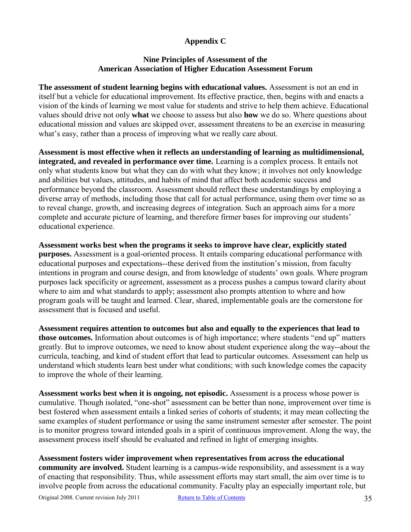## **Appendix C**

#### **Nine Principles of Assessment of the American Association of Higher Education Assessment Forum**

<span id="page-34-0"></span>**The assessment of student learning begins with educational values.** Assessment is not an end in itself but a vehicle for educational improvement. Its effective practice, then, begins with and enacts a vision of the kinds of learning we most value for students and strive to help them achieve. Educational values should drive not only **what** we choose to assess but also **how** we do so. Where questions about educational mission and values are skipped over, assessment threatens to be an exercise in measuring what's easy, rather than a process of improving what we really care about.

**Assessment is most effective when it reflects an understanding of learning as multidimensional, integrated, and revealed in performance over time.** Learning is a complex process. It entails not only what students know but what they can do with what they know; it involves not only knowledge and abilities but values, attitudes, and habits of mind that affect both academic success and performance beyond the classroom. Assessment should reflect these understandings by employing a diverse array of methods, including those that call for actual performance, using them over time so as to reveal change, growth, and increasing degrees of integration. Such an approach aims for a more complete and accurate picture of learning, and therefore firmer bases for improving our students' educational experience.

**Assessment works best when the programs it seeks to improve have clear, explicitly stated purposes.** Assessment is a goal-oriented process. It entails comparing educational performance with educational purposes and expectations--these derived from the institution's mission, from faculty intentions in program and course design, and from knowledge of students' own goals. Where program purposes lack specificity or agreement, assessment as a process pushes a campus toward clarity about where to aim and what standards to apply; assessment also prompts attention to where and how program goals will be taught and learned. Clear, shared, implementable goals are the cornerstone for assessment that is focused and useful.

**Assessment requires attention to outcomes but also and equally to the experiences that lead to those outcomes.** Information about outcomes is of high importance; where students "end up" matters greatly. But to improve outcomes, we need to know about student experience along the way--about the curricula, teaching, and kind of student effort that lead to particular outcomes. Assessment can help us understand which students learn best under what conditions; with such knowledge comes the capacity to improve the whole of their learning.

**Assessment works best when it is ongoing, not episodic.** Assessment is a process whose power is cumulative. Though isolated, "one-shot" assessment can be better than none, improvement over time is best fostered when assessment entails a linked series of cohorts of students; it may mean collecting the same examples of student performance or using the same instrument semester after semester. The point is to monitor progress toward intended goals in a spirit of continuous improvement. Along the way, the assessment process itself should be evaluated and refined in light of emerging insights.

**Assessment fosters wider improvement when representatives from across the educational community are involved.** Student learning is a campus-wide responsibility, and assessment is a way of enacting that responsibility. Thus, while assessment efforts may start small, the aim over time is to involve people from across the educational community. Faculty play an especially important role, but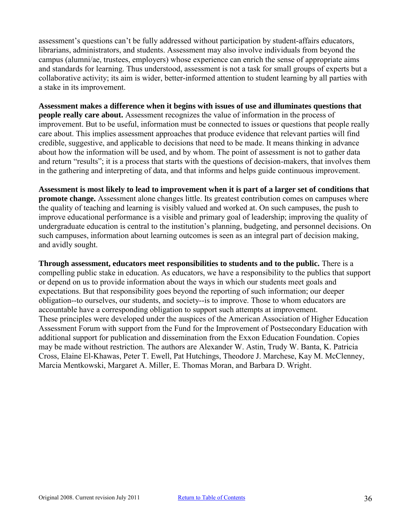assessment's questions can't be fully addressed without participation by student-affairs educators, librarians, administrators, and students. Assessment may also involve individuals from beyond the campus (alumni/ae, trustees, employers) whose experience can enrich the sense of appropriate aims and standards for learning. Thus understood, assessment is not a task for small groups of experts but a collaborative activity; its aim is wider, better-informed attention to student learning by all parties with a stake in its improvement.

**Assessment makes a difference when it begins with issues of use and illuminates questions that people really care about.** Assessment recognizes the value of information in the process of improvement. But to be useful, information must be connected to issues or questions that people really care about. This implies assessment approaches that produce evidence that relevant parties will find credible, suggestive, and applicable to decisions that need to be made. It means thinking in advance about how the information will be used, and by whom. The point of assessment is not to gather data and return "results"; it is a process that starts with the questions of decision-makers, that involves them in the gathering and interpreting of data, and that informs and helps guide continuous improvement.

**Assessment is most likely to lead to improvement when it is part of a larger set of conditions that promote change.** Assessment alone changes little. Its greatest contribution comes on campuses where the quality of teaching and learning is visibly valued and worked at. On such campuses, the push to improve educational performance is a visible and primary goal of leadership; improving the quality of undergraduate education is central to the institution's planning, budgeting, and personnel decisions. On such campuses, information about learning outcomes is seen as an integral part of decision making, and avidly sought.

**Through assessment, educators meet responsibilities to students and to the public.** There is a compelling public stake in education. As educators, we have a responsibility to the publics that support or depend on us to provide information about the ways in which our students meet goals and expectations. But that responsibility goes beyond the reporting of such information; our deeper obligation--to ourselves, our students, and society--is to improve. Those to whom educators are accountable have a corresponding obligation to support such attempts at improvement. These principles were developed under the auspices of the American Association of Higher Education Assessment Forum with support from the Fund for the Improvement of Postsecondary Education with additional support for publication and dissemination from the Exxon Education Foundation. Copies may be made without restriction. The authors are Alexander W. Astin, Trudy W. Banta, K. Patricia Cross, Elaine El-Khawas, Peter T. Ewell, Pat Hutchings, Theodore J. Marchese, Kay M. McClenney, Marcia Mentkowski, Margaret A. Miller, E. Thomas Moran, and Barbara D. Wright.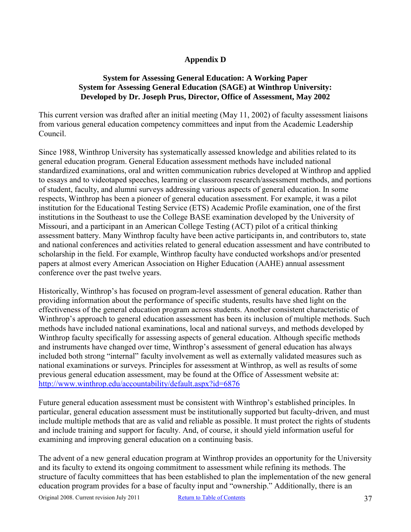#### **Appendix D**

#### <span id="page-36-0"></span>**System for Assessing General Education: A Working Paper System for Assessing General Education (SAGE) at Winthrop University: Developed by Dr. Joseph Prus, Director, Office of Assessment, May 2002**

This current version was drafted after an initial meeting (May 11, 2002) of faculty assessment liaisons from various general education competency committees and input from the Academic Leadership Council.

Since 1988, Winthrop University has systematically assessed knowledge and abilities related to its general education program. General Education assessment methods have included national standardized examinations, oral and written communication rubrics developed at Winthrop and applied to essays and to videotaped speeches, learning or classroom research/assessment methods, and portions of student, faculty, and alumni surveys addressing various aspects of general education. In some respects, Winthrop has been a pioneer of general education assessment. For example, it was a pilot institution for the Educational Testing Service (ETS) Academic Profile examination, one of the first institutions in the Southeast to use the College BASE examination developed by the University of Missouri, and a participant in an American College Testing (ACT) pilot of a critical thinking assessment battery. Many Winthrop faculty have been active participants in, and contributors to, state and national conferences and activities related to general education assessment and have contributed to scholarship in the field. For example, Winthrop faculty have conducted workshops and/or presented papers at almost every American Association on Higher Education (AAHE) annual assessment conference over the past twelve years.

Historically, Winthrop's has focused on program-level assessment of general education. Rather than providing information about the performance of specific students, results have shed light on the effectiveness of the general education program across students. Another consistent characteristic of Winthrop's approach to general education assessment has been its inclusion of multiple methods. Such methods have included national examinations, local and national surveys, and methods developed by Winthrop faculty specifically for assessing aspects of general education. Although specific methods and instruments have changed over time, Winthrop's assessment of general education has always included both strong "internal" faculty involvement as well as externally validated measures such as national examinations or surveys. Principles for assessment at Winthrop, as well as results of some previous general education assessment, may be found at the Office of Assessment website at: <http://www.winthrop.edu/accountability/default.aspx?id=6876>

Future general education assessment must be consistent with Winthrop's established principles. In particular, general education assessment must be institutionally supported but faculty-driven, and must include multiple methods that are as valid and reliable as possible. It must protect the rights of students and include training and support for faculty. And, of course, it should yield information useful for examining and improving general education on a continuing basis.

The advent of a new general education program at Winthrop provides an opportunity for the University and its faculty to extend its ongoing commitment to assessment while refining its methods. The structure of faculty committees that has been established to plan the implementation of the new general education program provides for a base of faculty input and "ownership." Additionally, there is an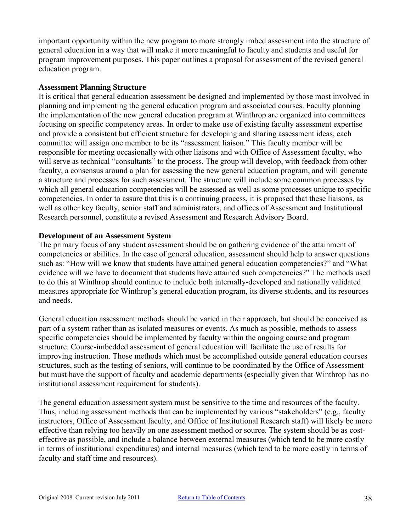important opportunity within the new program to more strongly imbed assessment into the structure of general education in a way that will make it more meaningful to faculty and students and useful for program improvement purposes. This paper outlines a proposal for assessment of the revised general education program.

#### **Assessment Planning Structure**

It is critical that general education assessment be designed and implemented by those most involved in planning and implementing the general education program and associated courses. Faculty planning the implementation of the new general education program at Winthrop are organized into committees focusing on specific competency areas. In order to make use of existing faculty assessment expertise and provide a consistent but efficient structure for developing and sharing assessment ideas, each committee will assign one member to be its "assessment liaison." This faculty member will be responsible for meeting occasionally with other liaisons and with Office of Assessment faculty, who will serve as technical "consultants" to the process. The group will develop, with feedback from other faculty, a consensus around a plan for assessing the new general education program, and will generate a structure and processes for such assessment. The structure will include some common processes by which all general education competencies will be assessed as well as some processes unique to specific competencies. In order to assure that this is a continuing process, it is proposed that these liaisons, as well as other key faculty, senior staff and administrators, and offices of Assessment and Institutional Research personnel, constitute a revised Assessment and Research Advisory Board.

#### **Development of an Assessment System**

The primary focus of any student assessment should be on gathering evidence of the attainment of competencies or abilities. In the case of general education, assessment should help to answer questions such as: "How will we know that students have attained general education competencies?" and "What evidence will we have to document that students have attained such competencies?" The methods used to do this at Winthrop should continue to include both internally-developed and nationally validated measures appropriate for Winthrop's general education program, its diverse students, and its resources and needs.

General education assessment methods should be varied in their approach, but should be conceived as part of a system rather than as isolated measures or events. As much as possible, methods to assess specific competencies should be implemented by faculty within the ongoing course and program structure. Course-imbedded assessment of general education will facilitate the use of results for improving instruction. Those methods which must be accomplished outside general education courses structures, such as the testing of seniors, will continue to be coordinated by the Office of Assessment but must have the support of faculty and academic departments (especially given that Winthrop has no institutional assessment requirement for students).

The general education assessment system must be sensitive to the time and resources of the faculty. Thus, including assessment methods that can be implemented by various "stakeholders" (e.g., faculty instructors, Office of Assessment faculty, and Office of Institutional Research staff) will likely be more effective than relying too heavily on one assessment method or source. The system should be as costeffective as possible, and include a balance between external measures (which tend to be more costly in terms of institutional expenditures) and internal measures (which tend to be more costly in terms of faculty and staff time and resources).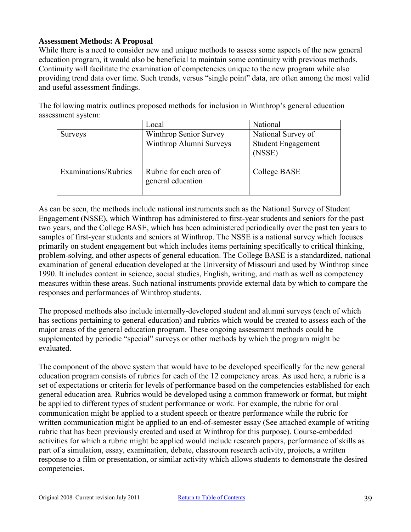#### **Assessment Methods: A Proposal**

While there is a need to consider new and unique methods to assess some aspects of the new general education program, it would also be beneficial to maintain some continuity with previous methods. Continuity will facilitate the examination of competencies unique to the new program while also providing trend data over time. Such trends, versus "single point" data, are often among the most valid and useful assessment findings.

The following matrix outlines proposed methods for inclusion in Winthrop's general education assessment system:

|                      | Local                                             | National                                                  |
|----------------------|---------------------------------------------------|-----------------------------------------------------------|
| <b>Surveys</b>       | Winthrop Senior Survey<br>Winthrop Alumni Surveys | National Survey of<br><b>Student Engagement</b><br>(NSSE) |
| Examinations/Rubrics | Rubric for each area of<br>general education      | College BASE                                              |

As can be seen, the methods include national instruments such as the National Survey of Student Engagement (NSSE), which Winthrop has administered to first-year students and seniors for the past two years, and the College BASE, which has been administered periodically over the past ten years to samples of first-year students and seniors at Winthrop. The NSSE is a national survey which focuses primarily on student engagement but which includes items pertaining specifically to critical thinking, problem-solving, and other aspects of general education. The College BASE is a standardized, national examination of general education developed at the University of Missouri and used by Winthrop since 1990. It includes content in science, social studies, English, writing, and math as well as competency measures within these areas. Such national instruments provide external data by which to compare the responses and performances of Winthrop students.

The proposed methods also include internally-developed student and alumni surveys (each of which has sections pertaining to general education) and rubrics which would be created to assess each of the major areas of the general education program. These ongoing assessment methods could be supplemented by periodic "special" surveys or other methods by which the program might be evaluated.

The component of the above system that would have to be developed specifically for the new general education program consists of rubrics for each of the 12 competency areas. As used here, a rubric is a set of expectations or criteria for levels of performance based on the competencies established for each general education area. Rubrics would be developed using a common framework or format, but might be applied to different types of student performance or work. For example, the rubric for oral communication might be applied to a student speech or theatre performance while the rubric for written communication might be applied to an end-of-semester essay (See attached example of writing rubric that has been previously created and used at Winthrop for this purpose). Course-embedded activities for which a rubric might be applied would include research papers, performance of skills as part of a simulation, essay, examination, debate, classroom research activity, projects, a written response to a film or presentation, or similar activity which allows students to demonstrate the desired competencies.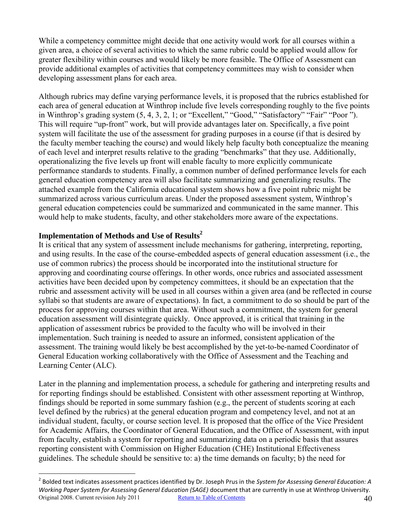While a competency committee might decide that one activity would work for all courses within a given area, a choice of several activities to which the same rubric could be applied would allow for greater flexibility within courses and would likely be more feasible. The Office of Assessment can provide additional examples of activities that competency committees may wish to consider when developing assessment plans for each area.

Although rubrics may define varying performance levels, it is proposed that the rubrics established for each area of general education at Winthrop include five levels corresponding roughly to the five points in Winthrop's grading system (5, 4, 3, 2, 1; or "Excellent," "Good," "Satisfactory" "Fair" "Poor "). This will require "up-front" work, but will provide advantages later on. Specifically, a five point system will facilitate the use of the assessment for grading purposes in a course (if that is desired by the faculty member teaching the course) and would likely help faculty both conceptualize the meaning of each level and interpret results relative to the grading "benchmarks" that they use. Additionally, operationalizing the five levels up front will enable faculty to more explicitly communicate performance standards to students. Finally, a common number of defined performance levels for each general education competency area will also facilitate summarizing and generalizing results. The attached example from the California educational system shows how a five point rubric might be summarized across various curriculum areas. Under the proposed assessment system, Winthrop's general education competencies could be summarized and communicated in the same manner. This would help to make students, faculty, and other stakeholders more aware of the expectations.

#### **Implementation of Methods and Use of Results<sup>2</sup>**

 $\overline{a}$ 

It is critical that any system of assessment include mechanisms for gathering, interpreting, reporting, and using results. In the case of the course-embedded aspects of general education assessment (i.e., the use of common rubrics) the process should be incorporated into the institutional structure for approving and coordinating course offerings. In other words, once rubrics and associated assessment activities have been decided upon by competency committees, it should be an expectation that the rubric and assessment activity will be used in all courses within a given area (and be reflected in course syllabi so that students are aware of expectations). In fact, a commitment to do so should be part of the process for approving courses within that area. Without such a commitment, the system for general education assessment will disintegrate quickly. Once approved, it is critical that training in the application of assessment rubrics be provided to the faculty who will be involved in their implementation. Such training is needed to assure an informed, consistent application of the assessment. The training would likely be best accomplished by the yet-to-be-named Coordinator of General Education working collaboratively with the Office of Assessment and the Teaching and Learning Center (ALC).

Later in the planning and implementation process, a schedule for gathering and interpreting results and for reporting findings should be established. Consistent with other assessment reporting at Winthrop, findings should be reported in some summary fashion (e.g., the percent of students scoring at each level defined by the rubrics) at the general education program and competency level, and not at an individual student, faculty, or course section level. It is proposed that the office of the Vice President for Academic Affairs, the Coordinator of General Education, and the Office of Assessment, with input from faculty, establish a system for reporting and summarizing data on a periodic basis that assures reporting consistent with Commission on Higher Education (CHE) Institutional Effectiveness guidelines. The schedule should be sensitive to: a) the time demands on faculty; b) the need for

Original 2008. Current revision July 2011 [Return to Table of Contents](#page-1-0) 40 2 Bolded text indicates assessment practices identified by Dr. Joseph Prus in the *System for Assessing General Education: A Working Paper System for Assessing General Education (SAGE)* document that are currently in use at Winthrop University.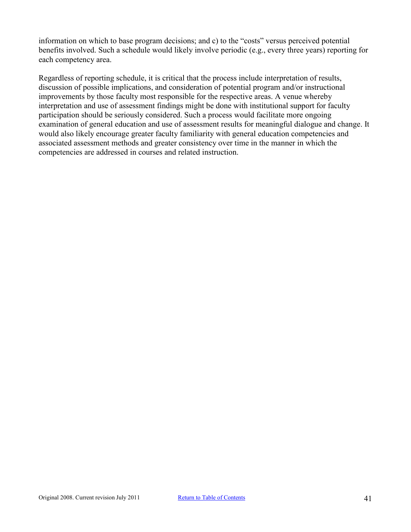information on which to base program decisions; and c) to the "costs" versus perceived potential benefits involved. Such a schedule would likely involve periodic (e.g., every three years) reporting for each competency area.

Regardless of reporting schedule, it is critical that the process include interpretation of results, discussion of possible implications, and consideration of potential program and/or instructional improvements by those faculty most responsible for the respective areas. A venue whereby interpretation and use of assessment findings might be done with institutional support for faculty participation should be seriously considered. Such a process would facilitate more ongoing examination of general education and use of assessment results for meaningful dialogue and change. It would also likely encourage greater faculty familiarity with general education competencies and associated assessment methods and greater consistency over time in the manner in which the competencies are addressed in courses and related instruction.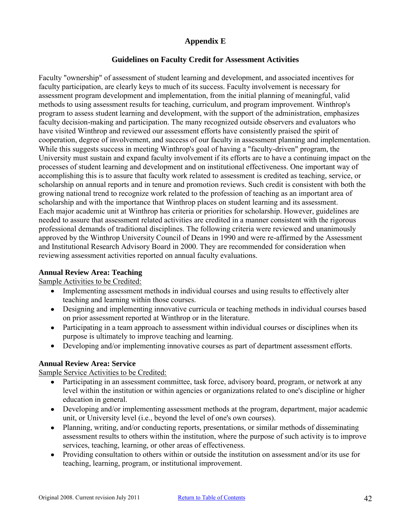## **Appendix E**

## **Guidelines on Faculty Credit for Assessment Activities**

<span id="page-41-0"></span>Faculty "ownership" of assessment of student learning and development, and associated incentives for faculty participation, are clearly keys to much of its success. Faculty involvement is necessary for assessment program development and implementation, from the initial planning of meaningful, valid methods to using assessment results for teaching, curriculum, and program improvement. Winthrop's program to assess student learning and development, with the support of the administration, emphasizes faculty decision-making and participation. The many recognized outside observers and evaluators who have visited Winthrop and reviewed our assessment efforts have consistently praised the spirit of cooperation, degree of involvement, and success of our faculty in assessment planning and implementation. While this suggests success in meeting Winthrop's goal of having a "faculty-driven" program, the University must sustain and expand faculty involvement if its efforts are to have a continuing impact on the processes of student learning and development and on institutional effectiveness. One important way of accomplishing this is to assure that faculty work related to assessment is credited as teaching, service, or scholarship on annual reports and in tenure and promotion reviews. Such credit is consistent with both the growing national trend to recognize work related to the profession of teaching as an important area of scholarship and with the importance that Winthrop places on student learning and its assessment. Each major academic unit at Winthrop has criteria or priorities for scholarship. However, guidelines are needed to assure that assessment related activities are credited in a manner consistent with the rigorous professional demands of traditional disciplines. The following criteria were reviewed and unanimously approved by the Winthrop University Council of Deans in 1990 and were re-affirmed by the Assessment and Institutional Research Advisory Board in 2000. They are recommended for consideration when reviewing assessment activities reported on annual faculty evaluations.

#### **Annual Review Area: Teaching**

#### Sample Activities to be Credited:

- Implementing assessment methods in individual courses and using results to effectively alter teaching and learning within those courses.
- Designing and implementing innovative curricula or teaching methods in individual courses based on prior assessment reported at Winthrop or in the literature.
- Participating in a team approach to assessment within individual courses or disciplines when its purpose is ultimately to improve teaching and learning.
- Developing and/or implementing innovative courses as part of department assessment efforts.

#### **Annual Review Area: Service**

Sample Service Activities to be Credited:

- Participating in an assessment committee, task force, advisory board, program, or network at any  $\bullet$ level within the institution or within agencies or organizations related to one's discipline or higher education in general.
- Developing and/or implementing assessment methods at the program, department, major academic unit, or University level (i.e., beyond the level of one's own courses).
- Planning, writing, and/or conducting reports, presentations, or similar methods of disseminating assessment results to others within the institution, where the purpose of such activity is to improve services, teaching, learning, or other areas of effectiveness.
- Providing consultation to others within or outside the institution on assessment and/or its use for teaching, learning, program, or institutional improvement.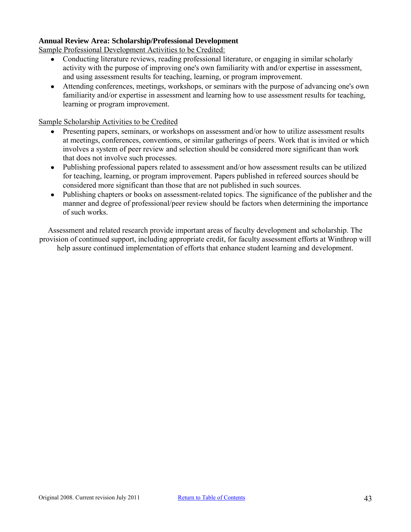#### **Annual Review Area: Scholarship/Professional Development**

Sample Professional Development Activities to be Credited:

- Conducting literature reviews, reading professional literature, or engaging in similar scholarly activity with the purpose of improving one's own familiarity with and/or expertise in assessment, and using assessment results for teaching, learning, or program improvement.
- $\bullet$ Attending conferences, meetings, workshops, or seminars with the purpose of advancing one's own familiarity and/or expertise in assessment and learning how to use assessment results for teaching, learning or program improvement.

#### Sample Scholarship Activities to be Credited

- $\bullet$ Presenting papers, seminars, or workshops on assessment and/or how to utilize assessment results at meetings, conferences, conventions, or similar gatherings of peers. Work that is invited or which involves a system of peer review and selection should be considered more significant than work that does not involve such processes.
- Publishing professional papers related to assessment and/or how assessment results can be utilized for teaching, learning, or program improvement. Papers published in refereed sources should be considered more significant than those that are not published in such sources.
- Publishing chapters or books on assessment-related topics. The significance of the publisher and the manner and degree of professional/peer review should be factors when determining the importance of such works.

Assessment and related research provide important areas of faculty development and scholarship. The provision of continued support, including appropriate credit, for faculty assessment efforts at Winthrop will help assure continued implementation of efforts that enhance student learning and development.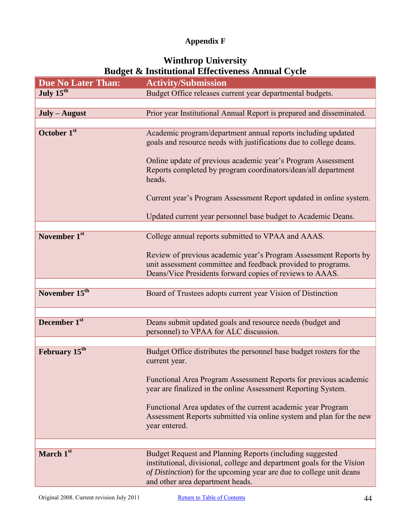## **Appendix F**

# **Winthrop University Budget & Institutional Effectiveness Annual Cycle**

<span id="page-43-0"></span>

| <b>Due No Later Than:</b> | <b>Activity/Submission</b>                                                                                                                                                                                                                    |
|---------------------------|-----------------------------------------------------------------------------------------------------------------------------------------------------------------------------------------------------------------------------------------------|
| July 15 <sup>th</sup>     | Budget Office releases current year departmental budgets.                                                                                                                                                                                     |
|                           |                                                                                                                                                                                                                                               |
| $July - August$           | Prior year Institutional Annual Report is prepared and disseminated.                                                                                                                                                                          |
|                           |                                                                                                                                                                                                                                               |
| October 1 <sup>st</sup>   | Academic program/department annual reports including updated<br>goals and resource needs with justifications due to college deans.                                                                                                            |
|                           | Online update of previous academic year's Program Assessment<br>Reports completed by program coordinators/dean/all department<br>heads.                                                                                                       |
|                           | Current year's Program Assessment Report updated in online system.                                                                                                                                                                            |
|                           | Updated current year personnel base budget to Academic Deans.                                                                                                                                                                                 |
| November 1 <sup>st</sup>  | College annual reports submitted to VPAA and AAAS.                                                                                                                                                                                            |
|                           | Review of previous academic year's Program Assessment Reports by                                                                                                                                                                              |
|                           | unit assessment committee and feedback provided to programs.                                                                                                                                                                                  |
|                           | Deans/Vice Presidents forward copies of reviews to AAAS.                                                                                                                                                                                      |
|                           |                                                                                                                                                                                                                                               |
| November 15 <sup>th</sup> | Board of Trustees adopts current year Vision of Distinction                                                                                                                                                                                   |
|                           |                                                                                                                                                                                                                                               |
| December 1st              | Deans submit updated goals and resource needs (budget and<br>personnel) to VPAA for ALC discussion.                                                                                                                                           |
|                           |                                                                                                                                                                                                                                               |
| February 15 <sup>th</sup> | Budget Office distributes the personnel base budget rosters for the<br>current year.                                                                                                                                                          |
|                           | Functional Area Program Assessment Reports for previous academic<br>year are finalized in the online Assessment Reporting System.                                                                                                             |
|                           | Functional Area updates of the current academic year Program<br>Assessment Reports submitted via online system and plan for the new<br>year entered.                                                                                          |
|                           |                                                                                                                                                                                                                                               |
| March 1st                 | Budget Request and Planning Reports (including suggested<br>institutional, divisional, college and department goals for the Vision<br>of Distinction) for the upcoming year are due to college unit deans<br>and other area department heads. |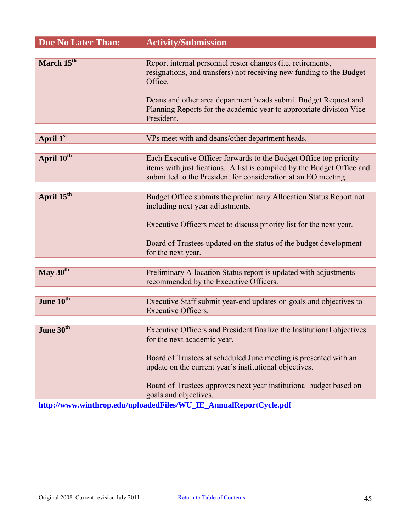| <b>Due No Later Than:</b> | <b>Activity/Submission</b>                                                                                                                                                                                        |
|---------------------------|-------------------------------------------------------------------------------------------------------------------------------------------------------------------------------------------------------------------|
|                           |                                                                                                                                                                                                                   |
| March 15 <sup>th</sup>    | Report internal personnel roster changes (i.e. retirements,<br>resignations, and transfers) not receiving new funding to the Budget<br>Office.<br>Deans and other area department heads submit Budget Request and |
|                           | Planning Reports for the academic year to appropriate division Vice<br>President.                                                                                                                                 |
|                           |                                                                                                                                                                                                                   |
| April 1st                 | VPs meet with and deans/other department heads.                                                                                                                                                                   |
|                           |                                                                                                                                                                                                                   |
| April 10 <sup>th</sup>    | Each Executive Officer forwards to the Budget Office top priority<br>items with justifications. A list is compiled by the Budget Office and                                                                       |
|                           | submitted to the President for consideration at an EO meeting.                                                                                                                                                    |
|                           |                                                                                                                                                                                                                   |
| April 15 <sup>th</sup>    | Budget Office submits the preliminary Allocation Status Report not<br>including next year adjustments.<br>Executive Officers meet to discuss priority list for the next year.                                     |
|                           | Board of Trustees updated on the status of the budget development<br>for the next year.                                                                                                                           |
|                           |                                                                                                                                                                                                                   |
| May 30 <sup>th</sup>      | Preliminary Allocation Status report is updated with adjustments<br>recommended by the Executive Officers.                                                                                                        |
|                           |                                                                                                                                                                                                                   |
| June 10th                 | Executive Staff submit year-end updates on goals and objectives to<br><b>Executive Officers.</b>                                                                                                                  |
|                           |                                                                                                                                                                                                                   |
| June 30 <sup>th</sup>     | Executive Officers and President finalize the Institutional objectives                                                                                                                                            |
|                           | for the next academic year.                                                                                                                                                                                       |
|                           | Board of Trustees at scheduled June meeting is presented with an                                                                                                                                                  |
|                           | update on the current year's institutional objectives.                                                                                                                                                            |
|                           | Board of Trustees approves next year institutional budget based on                                                                                                                                                |
|                           | goals and objectives.                                                                                                                                                                                             |
|                           | http://www.winthrop.edu/uploadedFiles/WU_IE_AnnualReportCycle.pdf                                                                                                                                                 |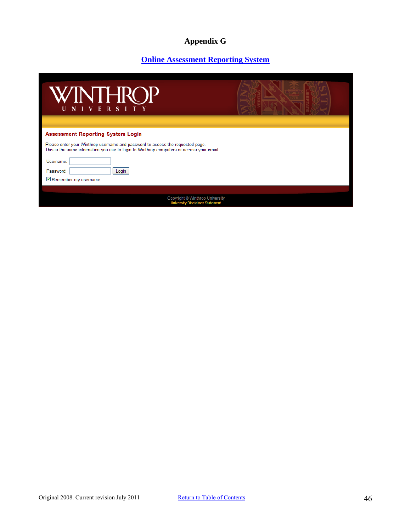# **Appendix G**

## **[Online Assessment Reporting System](http://www2.winthrop.edu/login/aaas/login.aspx?ReturnUrl=%2flogin%2faaas%2fdefault.aspx&s=0)**

<span id="page-45-0"></span>

| WINTHROP<br>U N I V E R S I T Y                                                                                                                                             |  |
|-----------------------------------------------------------------------------------------------------------------------------------------------------------------------------|--|
|                                                                                                                                                                             |  |
| <b>Assessment Reporting System Login</b>                                                                                                                                    |  |
| Please enter your Winthrop username and password to access the requested page.<br>This is the same information you use to login to Winthrop computers or access your email. |  |
| Username:                                                                                                                                                                   |  |
| Password:<br>Login                                                                                                                                                          |  |
| Remember my username                                                                                                                                                        |  |
|                                                                                                                                                                             |  |
| Copyright © Winthrop University<br><b>University Disclaimer Statement</b>                                                                                                   |  |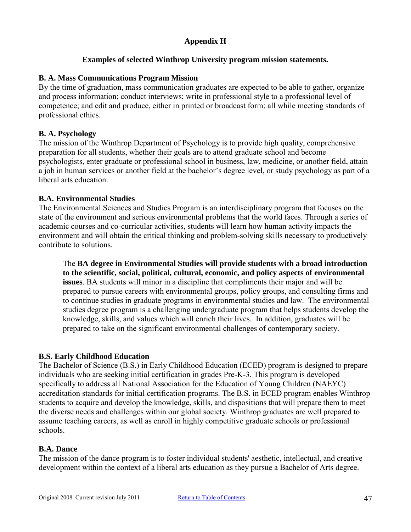## **Appendix H**

#### **Examples of selected Winthrop University program mission statements.**

#### <span id="page-46-0"></span>**B. A. Mass Communications Program Mission**

By the time of graduation, mass communication graduates are expected to be able to gather, organize and process information; conduct interviews; write in professional style to a professional level of competence; and edit and produce, either in printed or broadcast form; all while meeting standards of professional ethics.

#### **B. A. Psychology**

The mission of the Winthrop Department of Psychology is to provide high quality, comprehensive preparation for all students, whether their goals are to attend graduate school and become psychologists, enter graduate or professional school in business, law, medicine, or another field, attain a job in human services or another field at the bachelor's degree level, or study psychology as part of a liberal arts education.

#### **B.A. Environmental Studies**

The Environmental Sciences and Studies Program is an interdisciplinary program that focuses on the state of the environment and serious environmental problems that the world faces. Through a series of academic courses and co-curricular activities, students will learn how human activity impacts the environment and will obtain the critical thinking and problem-solving skills necessary to productively contribute to solutions.

The **BA degree in Environmental Studies will provide students with a broad introduction to the scientific, social, political, cultural, economic, and policy aspects of environmental issues**. BA students will minor in a discipline that compliments their major and will be prepared to pursue careers with environmental groups, policy groups, and consulting firms and to continue studies in graduate programs in environmental studies and law. The environmental studies degree program is a challenging undergraduate program that helps students develop the knowledge, skills, and values which will enrich their lives. In addition, graduates will be prepared to take on the significant environmental challenges of contemporary society.

#### **B.S. Early Childhood Education**

The Bachelor of Science (B.S.) in Early Childhood Education (ECED) program is designed to prepare individuals who are seeking initial certification in grades Pre-K-3. This program is developed specifically to address all National Association for the Education of Young Children (NAEYC) accreditation standards for initial certification programs. The B.S. in ECED program enables Winthrop students to acquire and develop the knowledge, skills, and dispositions that will prepare them to meet the diverse needs and challenges within our global society. Winthrop graduates are well prepared to assume teaching careers, as well as enroll in highly competitive graduate schools or professional schools.

#### **B.A. Dance**

The mission of the dance program is to foster individual students' aesthetic, intellectual, and creative development within the context of a liberal arts education as they pursue a Bachelor of Arts degree.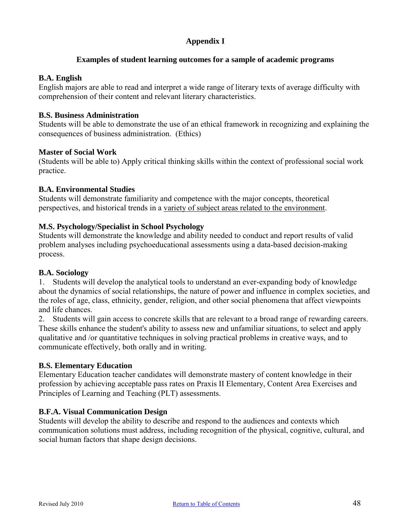## **Appendix I**

#### **Examples of student learning outcomes for a sample of academic programs**

#### <span id="page-47-0"></span>**B.A. English**

English majors are able to read and interpret a wide range of literary texts of average difficulty with comprehension of their content and relevant literary characteristics.

#### **B.S. Business Administration**

Students will be able to demonstrate the use of an ethical framework in recognizing and explaining the consequences of business administration. (Ethics)

#### **Master of Social Work**

(Students will be able to) Apply critical thinking skills within the context of professional social work practice.

#### **B.A. Environmental Studies**

Students will demonstrate familiarity and competence with the major concepts, theoretical perspectives, and historical trends in a variety of subject areas related to the environment.

#### **M.S. Psychology/Specialist in School Psychology**

Students will demonstrate the knowledge and ability needed to conduct and report results of valid problem analyses including psychoeducational assessments using a data-based decision-making process.

#### **B.A. Sociology**

1. Students will develop the analytical tools to understand an ever-expanding body of knowledge about the dynamics of social relationships, the nature of power and influence in complex societies, and the roles of age, class, ethnicity, gender, religion, and other social phenomena that affect viewpoints and life chances.

2. Students will gain access to concrete skills that are relevant to a broad range of rewarding careers. These skills enhance the student's ability to assess new and unfamiliar situations, to select and apply qualitative and /or quantitative techniques in solving practical problems in creative ways, and to communicate effectively, both orally and in writing.

#### **B.S. Elementary Education**

Elementary Education teacher candidates will demonstrate mastery of content knowledge in their profession by achieving acceptable pass rates on Praxis II Elementary, Content Area Exercises and Principles of Learning and Teaching (PLT) assessments.

#### **B.F.A. Visual Communication Design**

Students will develop the ability to describe and respond to the audiences and contexts which communication solutions must address, including recognition of the physical, cognitive, cultural, and social human factors that shape design decisions.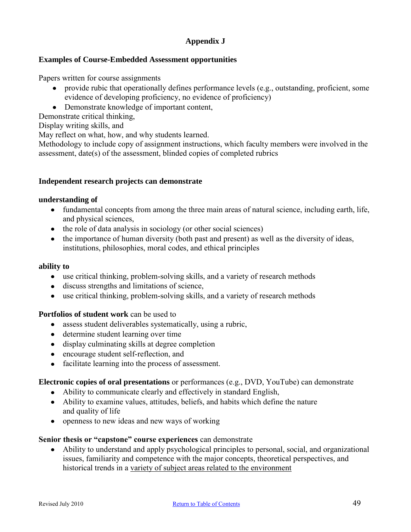## **Appendix J**

#### <span id="page-48-0"></span>**Examples of Course-Embedded Assessment opportunities**

Papers written for course assignments

- provide rubic that operationally defines performance levels (e.g., outstanding, proficient, some evidence of developing proficiency, no evidence of proficiency)
- Demonstrate knowledge of important content,

Demonstrate critical thinking,

Display writing skills, and

May reflect on what, how, and why students learned.

Methodology to include copy of assignment instructions, which faculty members were involved in the assessment, date(s) of the assessment, blinded copies of completed rubrics

#### **Independent research projects can demonstrate**

#### **understanding of**

- fundamental concepts from among the three main areas of natural science, including earth, life, and physical sciences,
- the role of data analysis in sociology (or other social sciences)
- the importance of human diversity (both past and present) as well as the diversity of ideas, institutions, philosophies, moral codes, and ethical principles

#### **ability to**

- use critical thinking, problem-solving skills, and a variety of research methods
- discuss strengths and limitations of science,
- use critical thinking, problem-solving skills, and a variety of research methods

#### **Portfolios of student work** can be used to

- assess student deliverables systematically, using a rubric,
- determine student learning over time
- display culminating skills at degree completion
- encourage student self-reflection, and
- facilitate learning into the process of assessment.

#### **Electronic copies of oral presentations** or performances (e.g., DVD, YouTube) can demonstrate

- Ability to communicate clearly and effectively in standard English,
- Ability to examine values, attitudes, beliefs, and habits which define the nature and quality of life
- openness to new ideas and new ways of working

#### **Senior thesis or "capstone" course experiences** can demonstrate

Ability to understand and apply psychological principles to personal, social, and organizational issues, familiarity and competence with the major concepts, theoretical perspectives, and historical trends in a variety of subject areas related to the environment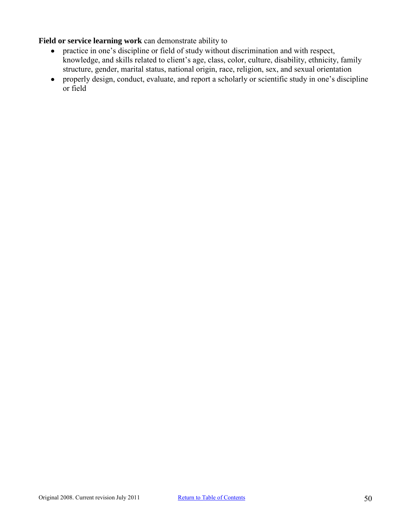**Field or service learning work** can demonstrate ability to

- practice in one's discipline or field of study without discrimination and with respect, knowledge, and skills related to client's age, class, color, culture, disability, ethnicity, family structure, gender, marital status, national origin, race, religion, sex, and sexual orientation
- properly design, conduct, evaluate, and report a scholarly or scientific study in one's discipline or field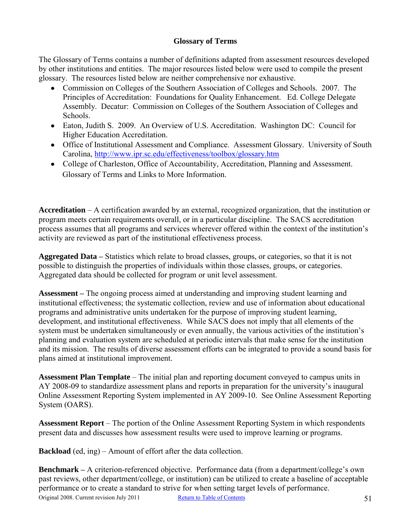## **Glossary of Terms**

<span id="page-50-0"></span>The Glossary of Terms contains a number of definitions adapted from assessment resources developed by other institutions and entities. The major resources listed below were used to compile the present glossary. The resources listed below are neither comprehensive nor exhaustive.

- Commission on Colleges of the Southern Association of Colleges and Schools. 2007. The Principles of Accreditation: Foundations for Quality Enhancement. Ed. College Delegate Assembly. Decatur: Commission on Colleges of the Southern Association of Colleges and Schools.
- Eaton, Judith S. 2009. An Overview of U.S. Accreditation. Washington DC: Council for Higher Education Accreditation.
- Office of Institutional Assessment and Compliance. Assessment Glossary. University of South Carolina, <http://www.ipr.sc.edu/effectiveness/toolbox/glossary.htm>
- College of Charleston, Office of Accountability, Accreditation, Planning and Assessment. [Glossary of Terms and Links to More Information.](http://www.cofc.edu/studentaffairs/pdf/Glossary_of_Assessment_Terms.pdf)

**Accreditation** – A certification awarded by an external, recognized organization, that the institution or program meets certain requirements overall, or in a particular discipline. The SACS accreditation process assumes that all programs and services wherever offered within the context of the institution's activity are reviewed as part of the institutional effectiveness process.

**Aggregated Data –** Statistics which relate to broad classes, groups, or categories, so that it is not possible to distinguish the properties of individuals within those classes, groups, or categories. Aggregated data should be collected for program or unit level assessment.

**Assessment –** The ongoing process aimed at understanding and improving student learning and institutional effectiveness; the systematic collection, review and use of information about educational programs and administrative units undertaken for the purpose of improving student learning, development, and institutional effectiveness. While SACS does not imply that all elements of the system must be undertaken simultaneously or even annually, the various activities of the institution's planning and evaluation system are scheduled at periodic intervals that make sense for the institution and its mission. The results of diverse assessment efforts can be integrated to provide a sound basis for plans aimed at institutional improvement.

**Assessment Plan Template** – The initial plan and reporting document conveyed to campus units in AY 2008-09 to standardize assessment plans and reports in preparation for the university's inaugural Online Assessment Reporting System implemented in AY 2009-10. See Online Assessment Reporting System (OARS).

**Assessment Report** – The portion of the Online Assessment Reporting System in which respondents present data and discusses how assessment results were used to improve learning or programs.

**Backload** (ed, ing) – Amount of effort after the data collection.

Original 2008. Current revision July 2011 [Return to Table of Contents](#page-1-0) 51 **Benchmark** – A criterion-referenced objective. Performance data (from a department/college's own past reviews, other department/college, or institution) can be utilized to create a baseline of acceptable performance or to create a standard to strive for when setting target levels of performance.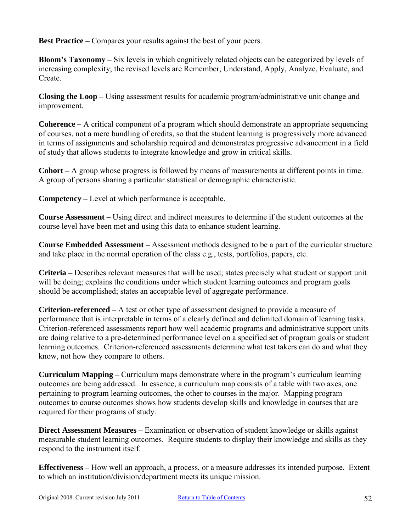**Best Practice –** Compares your results against the best of your peers.

**Bloom's Taxonomy –** Six levels in which cognitively related objects can be categorized by levels of increasing complexity; the revised levels are Remember, Understand, Apply, Analyze, Evaluate, and Create.

**Closing the Loop –** Using assessment results for academic program/administrative unit change and improvement.

**Coherence –** A critical component of a program which should demonstrate an appropriate sequencing of courses, not a mere bundling of credits, so that the student learning is progressively more advanced in terms of assignments and scholarship required and demonstrates progressive advancement in a field of study that allows students to integrate knowledge and grow in critical skills.

**Cohort –** A group whose progress is followed by means of measurements at different points in time. A group of persons sharing a particular statistical or demographic characteristic.

**Competency –** Level at which performance is acceptable.

**Course Assessment –** Using direct and indirect measures to determine if the student outcomes at the course level have been met and using this data to enhance student learning.

**Course Embedded Assessment –** Assessment methods designed to be a part of the curricular structure and take place in the normal operation of the class e.g., tests, portfolios, papers, etc.

**Criteria –** Describes relevant measures that will be used; states precisely what student or support unit will be doing; explains the conditions under which student learning outcomes and program goals should be accomplished; states an acceptable level of aggregate performance.

**Criterion-referenced –** A test or other type of assessment designed to provide a measure of performance that is interpretable in terms of a clearly defined and delimited domain of learning tasks. Criterion-referenced assessments report how well academic programs and administrative support units are doing relative to a pre-determined performance level on a specified set of program goals or student learning outcomes. Criterion-referenced assessments determine what test takers can do and what they know, not how they compare to others.

**Curriculum Mapping –** Curriculum maps demonstrate where in the program's curriculum learning outcomes are being addressed. In essence, a curriculum map consists of a table with two axes, one pertaining to program learning outcomes, the other to courses in the major. Mapping program outcomes to course outcomes shows how students develop skills and knowledge in courses that are required for their programs of study.

**Direct Assessment Measures –** Examination or observation of student knowledge or skills against measurable student learning outcomes. Require students to display their knowledge and skills as they respond to the instrument itself.

**Effectiveness –** How well an approach, a process, or a measure addresses its intended purpose. Extent to which an institution/division/department meets its unique mission.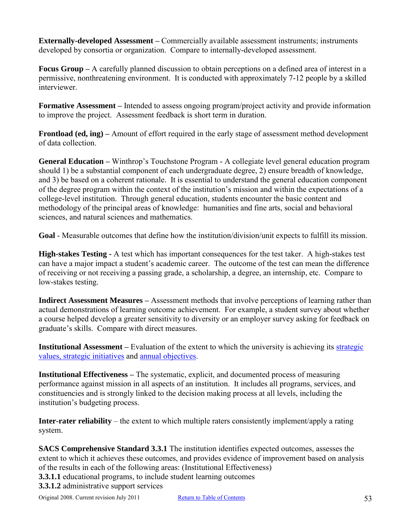**Externally-developed Assessment –** Commercially available assessment instruments; instruments developed by consortia or organization. Compare to internally-developed assessment.

**Focus Group –** A carefully planned discussion to obtain perceptions on a defined area of interest in a permissive, nonthreatening environment. It is conducted with approximately 7-12 people by a skilled interviewer.

**Formative Assessment –** Intended to assess ongoing program/project activity and provide information to improve the project. Assessment feedback is short term in duration.

**Frontload (ed, ing) –** Amount of effort required in the early stage of assessment method development of data collection.

**General Education –** Winthrop's Touchstone Program - A collegiate level general education program should 1) be a substantial component of each undergraduate degree, 2) ensure breadth of knowledge, and 3) be based on a coherent rationale. It is essential to understand the general education component of the degree program within the context of the institution's mission and within the expectations of a college-level institution. Through general education, students encounter the basic content and methodology of the principal areas of knowledge: humanities and fine arts, social and behavioral sciences, and natural sciences and mathematics.

**Goal** - Measurable outcomes that define how the institution/division/unit expects to fulfill its mission.

**High-stakes Testing -** A [test](http://en.wikipedia.org/wiki/Test_%28student_assessment%29) which has important consequences for the test taker. A high-stakes test can have a major impact a student's academic career. The outcome of the test can mean the difference of receiving or not receiving a passing grade, a scholarship, a degree, an internship, etc. Compare to low-stakes testing.

**Indirect Assessment Measures –** Assessment methods that involve perceptions of learning rather than actual demonstrations of learning outcome achievement. For example, a student survey about whether a course helped develop a greater sensitivity to diversity or an employer survey asking for feedback on graduate's skills. Compare with direct measures.

**Institutional Assessment** – Evaluation of the extent to which the university is achieving its strategic [values, strategic initiatives](http://www.winthrop.edu/uploadedFiles/president/2010-11_VoD_color.pdf) and [annual objectives.](http://www.winthrop.edu/uploadedFiles/president/09-10VODupdates_June2010.pdf)

**Institutional Effectiveness –** The systematic, explicit, and documented process of measuring performance against mission in all aspects of an institution. It includes all programs, services, and constituencies and is strongly linked to the decision making process at all levels, including the institution's budgeting process.

**Inter-rater reliability** – the extent to which multiple raters consistently implement/apply a rating system.

**SACS Comprehensive Standard 3.3.1** The institution identifies expected outcomes, assesses the extent to which it achieves these outcomes, and provides evidence of improvement based on analysis of the results in each of the following areas: (Institutional Effectiveness)

**3.3.1.1** educational programs, to include student learning outcomes

**3.3.1.2** administrative support services

Original 2008. Current revision July 2011 [Return to Table of Contents](#page-1-0) 53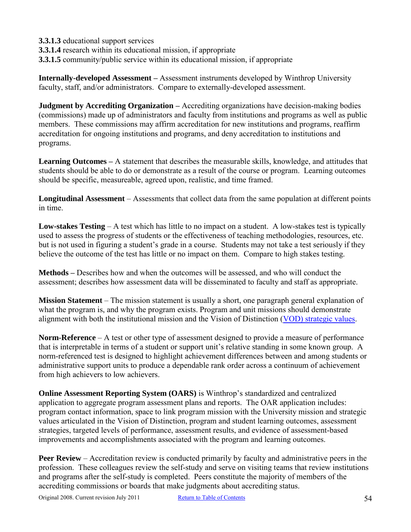- **3.3.1.3** educational support services
- **3.3.1.4** research within its educational mission, if appropriate
- **3.3.1.5** community/public service within its educational mission, if appropriate

**Internally-developed Assessment –** Assessment instruments developed by Winthrop University faculty, staff, and/or administrators. Compare to externally-developed assessment.

**Judgment by Accrediting Organization –** Accrediting organizations have decision-making bodies (commissions) made up of administrators and faculty from institutions and programs as well as public members. These commissions may affirm accreditation for new institutions and programs, reaffirm accreditation for ongoing institutions and programs, and deny accreditation to institutions and programs.

**Learning Outcomes –** A statement that describes the measurable skills, knowledge, and attitudes that students should be able to do or demonstrate as a result of the course or program. Learning outcomes should be specific, measureable, agreed upon, realistic, and time framed.

**Longitudinal Assessment** – Assessments that collect data from the same population at different points in time.

**Low-stakes Testing** – A test which has little to no impact on a student. A low-stakes test is typically used to assess the progress of students or the effectiveness of teaching methodologies, resources, etc. but is not used in figuring a student's grade in a course. Students may not take a test seriously if they believe the outcome of the test has little or no impact on them. Compare to high stakes testing.

**Methods –** Describes how and when the outcomes will be assessed, and who will conduct the assessment; describes how assessment data will be disseminated to faculty and staff as appropriate.

**Mission Statement** – The mission statement is usually a short, one paragraph general explanation of what the program is, and why the program exists. Program and unit missions should demonstrate alignment with both the institutional mission and the Vision of Distinction [\(VOD\) strategic values.](http://www.winthrop.edu/uploadedFiles/president/2010-11_VoD_color.pdf)

**Norm-Reference** – A test or other type of assessment designed to provide a measure of performance that is interpretable in terms of a student or support unit's relative standing in some known group. A norm-referenced test is designed to highlight achievement differences between and among students or administrative support units to produce a dependable rank order across a continuum of achievement from high achievers to low achievers.

**Online Assessment Reporting System (OARS)** is Winthrop's standardized and centralized application to aggregate program assessment plans and reports. The OAR application includes: program contact information, space to link program mission with the University mission and strategic values articulated in the Vision of Distinction, program and student learning outcomes, assessment strategies, targeted levels of performance, assessment results, and evidence of assessment-based improvements and accomplishments associated with the program and learning outcomes.

**Peer Review** – Accreditation review is conducted primarily by faculty and administrative peers in the profession. These colleagues review the self-study and serve on visiting teams that review institutions and programs after the self-study is completed. Peers constitute the majority of members of the accrediting commissions or boards that make judgments about accrediting status.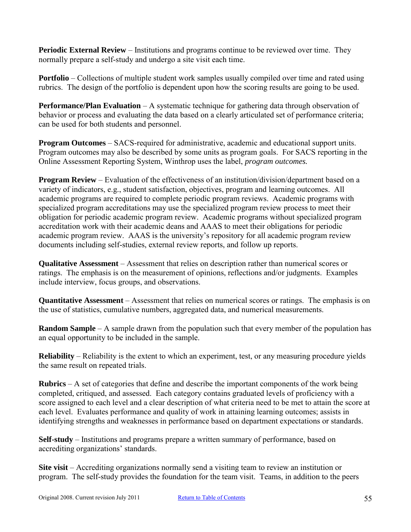**Periodic External Review** – Institutions and programs continue to be reviewed over time. They normally prepare a self-study and undergo a site visit each time.

**Portfolio** – Collections of multiple student work samples usually compiled over time and rated using rubrics. The design of the portfolio is dependent upon how the scoring results are going to be used.

**Performance/Plan Evaluation** – A systematic technique for gathering data through observation of behavior or process and evaluating the data based on a clearly articulated set of performance criteria; can be used for both students and personnel.

**Program Outcomes** – SACS-required for administrative, academic and educational support units. Program outcomes may also be described by some units as program goals. For SACS reporting in the Online Assessment Reporting System, Winthrop uses the label, *program outcomes.*

**Program Review** – Evaluation of the effectiveness of an institution/division/department based on a variety of indicators, e.g., student satisfaction, objectives, program and learning outcomes. All academic programs are required to complete periodic program reviews. Academic programs with specialized program accreditations may use the specialized program review process to meet their obligation for periodic academic program review. Academic programs without specialized program accreditation work with their academic deans and AAAS to meet their obligations for periodic academic program review. AAAS is the university's repository for all academic program review documents including self-studies, external review reports, and follow up reports.

**Qualitative Assessment** – Assessment that relies on description rather than numerical scores or ratings. The emphasis is on the measurement of opinions, reflections and/or judgments. Examples include interview, focus groups, and observations.

**Quantitative Assessment** – Assessment that relies on numerical scores or ratings. The emphasis is on the use of statistics, cumulative numbers, aggregated data, and numerical measurements.

**Random Sample** – A sample drawn from the population such that every member of the population has an equal opportunity to be included in the sample.

**Reliability** – Reliability is the extent to which an experiment, test, or any measuring procedure yields the same result on repeated trials.

**Rubrics** – A set of categories that define and describe the important components of the work being completed, critiqued, and assessed. Each category contains graduated levels of proficiency with a score assigned to each level and a clear description of what criteria need to be met to attain the score at each level. Evaluates performance and quality of work in attaining learning outcomes; assists in identifying strengths and weaknesses in performance based on department expectations or standards.

**Self-study** – Institutions and programs prepare a written summary of performance, based on accrediting organizations' standards.

**Site visit** – Accrediting organizations normally send a visiting team to review an institution or program. The self-study provides the foundation for the team visit. Teams, in addition to the peers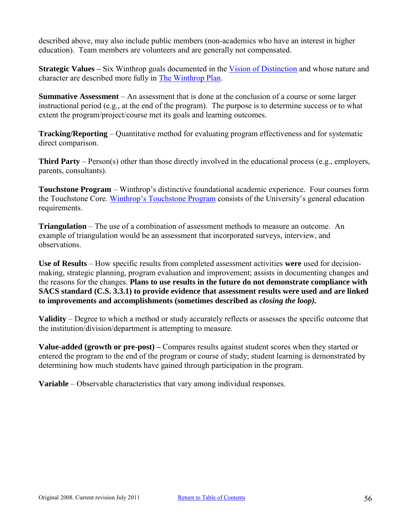described above, may also include public members (non-academics who have an interest in higher education). Team members are volunteers and are generally not compensated.

**Strategic Values –** Six Winthrop goals documented in the [Vision of Distinction](http://www.winthrop.edu/uploadedFiles/president/2010-11_VoD_color.pdf) and whose nature and character are described more fully in [The Winthrop Plan.](http://www.winthrop.edu/uploadedFiles/WinthropPlanbyNatureandCharacterTask%20Force%20FINAL%2002-4-06_2.pdf)

**Summative Assessment** – An assessment that is done at the conclusion of a course or some larger instructional period (e.g., at the end of the program). The purpose is to determine success or to what extent the program/project/course met its goals and learning outcomes.

**Tracking/Reporting** – Quantitative method for evaluating program effectiveness and for systematic direct comparison.

**Third Party** – Person(s) other than those directly involved in the educational process (e.g., employers, parents, consultants).

**Touchstone Program** – Winthrop's distinctive foundational academic experience. Four courses form the Touchstone Core. [Winthrop's Touchstone Program](http://www2.winthrop.edu/universitycollege/Touchstone/TouchstoneProgram.htm) consists of the University's general education requirements.

**Triangulation** – The use of a combination of assessment methods to measure an outcome. An example of triangulation would be an assessment that incorporated surveys, interview, and observations.

**Use of Results** – How specific results from completed assessment activities **were** used for decisionmaking, strategic planning, program evaluation and improvement; assists in documenting changes and the reasons for the changes. **Plans to use results in the future do not demonstrate compliance with SACS standard (C.S. 3.3.1) to provide evidence that assessment results were used and are linked to improvements and accomplishments (sometimes described as** *closing the loop).*

**Validity** – Degree to which a method or study accurately reflects or assesses the specific outcome that the institution/division/department is attempting to measure.

**Value-added (growth or pre-post) –** Compares results against student scores when they started or entered the program to the end of the program or course of study; student learning is demonstrated by determining how much students have gained through participation in the program.

**Variable** – Observable characteristics that vary among individual responses.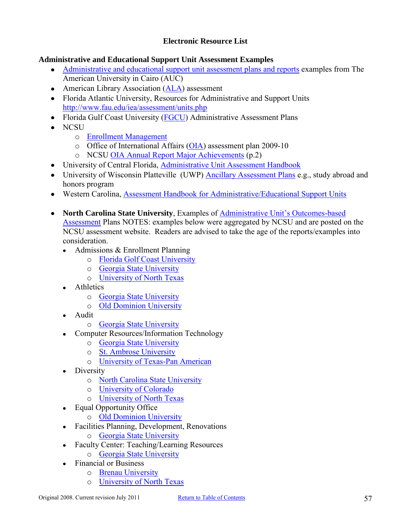## **Electronic Resource List**

## <span id="page-56-0"></span>**Administrative and Educational Support Unit Assessment Examples**

- [Administrative and educational support unit assessment plans and reports](http://www.aucegypt.edu/research/IR/assess/Pages/AssessmentinSupportingUnits.aspx) examples from The  $\bullet$ American University in Cairo (AUC)
- American Library Association [\(ALA\)](http://www.ala.org/ala/educationcareers/education/accreditedprograms/resourcesforprogramadministrators/outcomesassessment.cfm) assessment
- Florida Atlantic University, Resources for Administrative and Support Units <http://www.fau.edu/iea/assessment/units.php>
- Florida Gulf Coast University [\(FGCU\)](http://www.fgcu.edu/planning/assessment/Plans/Administrative.asp) Administrative Assessment Plans
- NCSU
	- o [Enrollment Management](http://www.ncsu.edu/emas/assessment/index.php)
	- o Office of International Affairs [\(OIA\)](http://oia.ncsu.edu/webfm_send/56) assessment plan 2009-10
	- o NCSU [OIA Annual Report Major Achievements](http://oia.ncsu.edu/webfm_send/525) (p.2)
- University of Central Florida, [Administrative Unit Assessment Handbook](http://oeas.ucf.edu/doc/adm_assess_handbook.pdf)
- University of Wisconsin Platteville (UWP) [Ancillary Assessment Plans](http://www.uwplatt.edu/committees/aoc/AAAP.html) e.g., study abroad and honors program
- Western Carolina, [Assessment Handbook for Administrative/Educational Support Units](http://www.wcu.edu/WebFiles/PDFs/AssessmentHandbook_AES.pdf)
- **North Carolina State University**, Examples of [Administrative Unit's Outcomes-based](http://www2.acs.ncsu.edu/UPA/assmt/admin_examples_others.htm)  [Assessment](http://www2.acs.ncsu.edu/UPA/assmt/admin_examples_others.htm) Plans NOTES: examples below were aggregated by NCSU and are posted on the NCSU assessment website. Readers are advised to take the age of the reports/examples into consideration.
	- Admissions & Enrollment Planning  $\bullet$ 
		- o [Florida Golf Coast University](http://www.fgcu.edu/planning/AnnualReport/2006_2007/Admissions.pdf)
		- o [Georgia State University](http://www2.gsu.edu/~wwwotc/AdmissionsPlan.doc)
		- o [University of North Texas](http://www.unt.edu/SACS/ie_nonacademic/Admissions.pdf)
	- Athletics  $\bullet$ 
		- o [Georgia State University](http://www2.gsu.edu/~wwwotc/Athletics%20INSTITUTIONAL%20EFFECTIVENESS%20ASSESSMENT%20PLAN.doc)
		- o [Old Dominion University](http://www.odu.edu/ao/ira/assessment/plans/admin/2003-2004/plans/2003_2004athletics.pdf)
	- Audit
		- o [Georgia State University](http://www2.gsu.edu/~wwwotc/completedplans.htm)
	- Computer Resources/Information Technology
		- o [Georgia State University](http://www2.gsu.edu/~wwwotc/is&t.htm)
		- o [St. Ambrose University](http://web.sau.edu/assessment/Assessment%20Plan_IT_matrix2_Fall2006.pdf)
		- o [University of Texas-Pan American](http://www.ie.utpa.edu/IT.htm)
	- **Diversity**  $\bullet$ 
		- o [North Carolina State University](http://www.ncsu.edu/diversity/outcomes/pdf/AssessmentOutcomes_000.doc)
		- o [University of Colorado](https://www.cu.edu/diversity/brc/purpose.html)
		- o [University of North Texas](http://www.unt.edu/SACS/ie_nonacademic/Equity%20and%20Diversity.pdf)
	- Equal Opportunity Office  $\bullet$ 
		- o [Old Dominion University](http://www.odu.edu/ao/ira/assessment/plans/admin/2003-2004/plans/2003_2004eo_aa.pdf)
	- Facilities Planning, Development, Renovations  $\bullet$ 
		- o [Georgia State University](http://www2.gsu.edu/~wwwotc/facilities.htm)
	- Faculty Center: Teaching/Learning Resources  $\bullet$ 
		- o [Georgia State University](http://www2.gsu.edu/~wwwotc/CTL-TLTC%20Assessment%20Plan-28-05-04.doc)
	- Financial or Business
		- o [Brenau University](http://intranet.brenau.edu/assessment/plans/admin/busFin/busOps/busOps.pdf)
		- o [University of North Texas](http://www.unt.edu/SACS/ie_nonacademic/Business%20Services.pdf)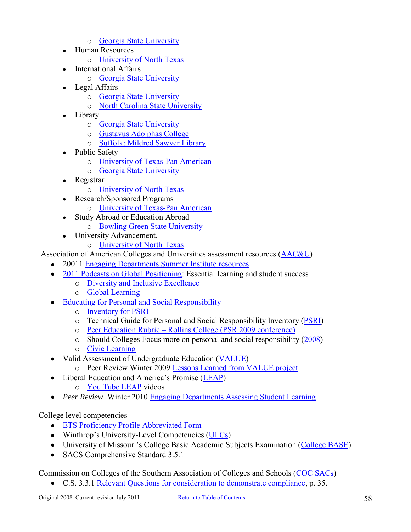- o [Georgia State University](http://www2.gsu.edu/~wwwotc/comptroller.htm)
- Human Resources  $\bullet$ 
	- o [University of North Texas](http://www.unt.edu/SACS/ie_nonacademic/Human%20Resources.pdf)
- International Affairs
	- o [Georgia State University](http://www2.gsu.edu/~wwwotc/International%20Affairs.rtf)
- Legal Affairs  $\bullet$ 
	- o [Georgia State University](http://www2.gsu.edu/~wwwotc/Legal%20Institutional%20EffectivenessPlan.doc)
	- o [North Carolina State University](http://www.ncsu.edu/legal/compact_plan/assessment_plan.php)
- Library  $\bullet$ 
	- o [Georgia State University](http://www2.gsu.edu/~wwwotc/PullenLibraryOutcomes%20Assessment.doc)
	- o [Gustavus Adolphas College](http://gustavus.edu/academics/library/Pubs/AssessmentPlan.html)
	- o [Suffolk: Mildred Sawyer Library](http://www.suffolk.edu/files/SawLib/faculty-support-outcomes-assessment-plan.pdf)
- Public Safety  $\bullet$ 
	- o [University of Texas-Pan American](http://www.ie.utpa.edu/AAP&R/07/BA/PoliceDept07.pdf)
	- o [Georgia State University](http://www2.gsu.edu/~wwwotc/financeandadmin.htm)
- Registrar  $\bullet$ 
	- o [University of North Texas](http://www.unt.edu/SACS/ie_nonacademic/Registrar%27s%20Office.pdf)
- Research/Sponsored Programs  $\bullet$ 
	- o [University of Texas-Pan American](http://www.ie.utpa.edu/ResearchAdmin_AAPAAR.htm)
- Study Abroad or Education Abroad  $\bullet$ 
	- o [Bowling Green State University](http://www.bgsu.edu/offices/assessment/page31638.html)
- University Advancement.  $\bullet$ 
	- o [University of North Texas](http://www.unt.edu/SACS/ie_nonacademic/Development.pdf)
- Association of American Colleges and Universities assessment resources [\(AAC&U\)](http://www.aacu.org/resources/assessment/index.cfm)
	- 20011 [Engaging Departments Summer Institute resources](http://www.aacu.org/meetings/engaging_depts/2011Resources.cfm)
	- [2011 Podcasts on Global Positioning:](http://www.aacu.org/Podcast/podcasts.cfm?id=153) Essential learning and student success
		- o [Diversity and Inclusive Excellence](http://www.aacu.org/resources/diversity/index.cfm)
		- o [Global Learning](http://www.aacu.org/resources/globallearning/index.cfm)
	- [Educating for Personal and Social Responsibility](http://www.aacu.org/meetings/psr11/index.cfm)
		- o [Inventory for PSRI](http://www.aacu.org/core_commitments/Assessment.cfm)
		- o Technical Guide for Personal and Social Responsibility Inventory [\(PSRI\)](http://www.aacu.org/core_commitments/documents/TechnicalandAdministrativeGuide2010.pdf)
		- o [Peer Education Rubric Rollins College \(PSR 2009 conference\)](http://www.aacu.org/meetings/psr09/documents/CS10rubric.pdf)
		- o Should Colleges Focus more on personal and social responsibility [\(2008\)](http://www.aacu.org/core_commitments/documents/PSRII_Findings_April2008.pdf)
		- o [Civic Learning](http://www.aacu.org/resources/civicengagement/index.cfm)
	- Valid Assessment of Undergraduate Education [\(VALUE\)](http://www.aacu.org/value/index.cfm)  $\bullet$ 
		- o Peer Review Winter 2009 [Lessons Learned from VALUE project](http://www.aacu.org/peerreview/pr-wi09/documents/Peer_Review_Winter_2009.pdf)
	- Liberal Education and America's Promise [\(LEAP\)](http://www.aacu.org/leap/index.cfm)
		- o [You Tube LEAP](http://www.youtube.com/aacu) videos
	- *Peer Review* Winter 2010 [Engaging Departments Assessing Student Learning](http://www.aacu.org/peerreview/pr-wi10/pr-wi10_index.cfm)

## College level competencies

- [ETS Proficiency Profile Abbreviated Form](http://www.ets.org/s/proficiencyprofile/pdf/Users_Guide_Abbreviated_Reports.pdf)
- Winthrop's University-Level Competencies [\(ULCs\)](http://www.winthrop.edu/academic-affairs/secondary.aspx?id=15731)
- University of Missouri's College Basic Academic Subjects Examination [\(College BASE\)](http://arc.missouri.edu/index.php?p=/CB/CBhome.htm)
- SACS Comprehensive Standard 3.5.1

Commission on Colleges of the Southern Association of Colleges and School[s \(COC SACs\)](http://www.sacscoc.org/) 

C.S. 3.3.1 [Relevant Questions for consideration to demonstrate compliance,](http://www.sacscoc.org/pdf/handbooks/Exhibit%2031.Resource%20Manual.pdf) p. 35.